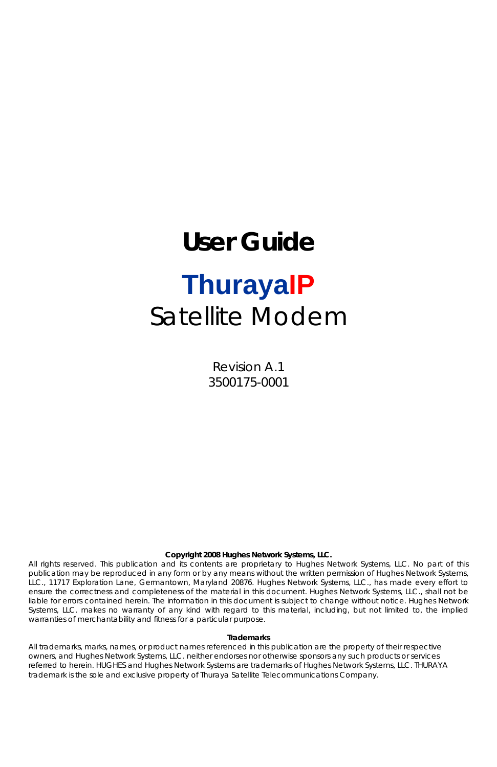# **User Guide ThurayaIP** Satellite Modem

Revision A.1 3500175-0001

#### **Copyright 2008 Hughes Network Systems, LLC.**

All rights reserved. This publication and its contents are proprietary to Hughes Network Systems, LLC. No part of this publication may be reproduced in any form or by any means without the written permission of Hughes Network Systems, LLC., 11717 Exploration Lane, Germantown, Maryland 20876. Hughes Network Systems, LLC., has made every effort to ensure the correctness and completeness of the material in this document. Hughes Network Systems, LLC., shall not be liable for errors contained herein. The information in this document is subject to change without notice. Hughes Network Systems, LLC. makes no warranty of any kind with regard to this material, including, but not limited to, the implied warranties of merchantability and fitness for a particular purpose.

#### **Trademarks**

All trademarks, marks, names, or product names referenced in this publication are the property of their respective owners, and Hughes Network Systems, LLC. neither endorses nor otherwise sponsors any such products or services referred to herein. HUGHES and Hughes Network Systems are trademarks of Hughes Network Systems, LLC. THURAYA trademark is the sole and exclusive property of Thuraya Satellite Telecommunications Company.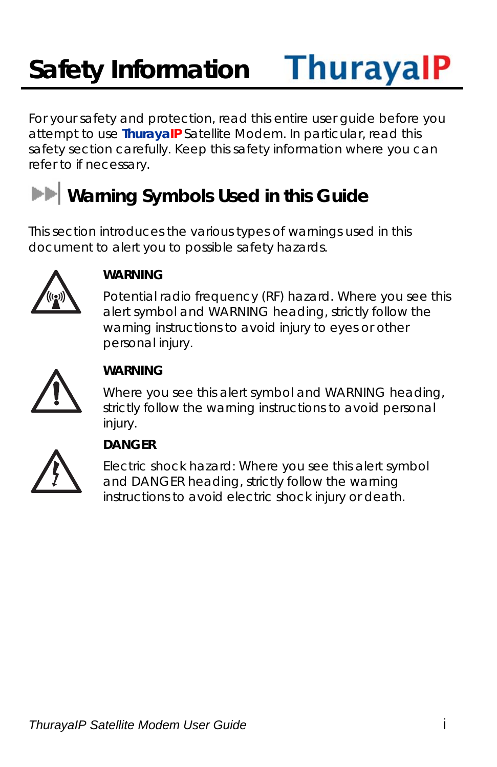### **ThurayalP Safety Information**

For your safety and protection, read this entire user guide before you attempt to use **ThurayaIP** Satellite Modem. In particular, read this safety section carefully. Keep this safety information where you can refer to if necessary.

# **Warning Symbols Used in this Guide**

This section introduces the various types of warnings used in this document to alert you to possible safety hazards.



#### **WARNING**

Potential radio frequency (RF) hazard. Where you see this alert symbol and WARNING heading, strictly follow the warning instructions to avoid injury to eyes or other personal injury.



#### **WARNING**

Where you see this alert symbol and WARNING heading, strictly follow the warning instructions to avoid personal injury.



#### **DANGER**

Electric shock hazard: Where you see this alert symbol and DANGER heading, strictly follow the warning instructions to avoid electric shock injury or death.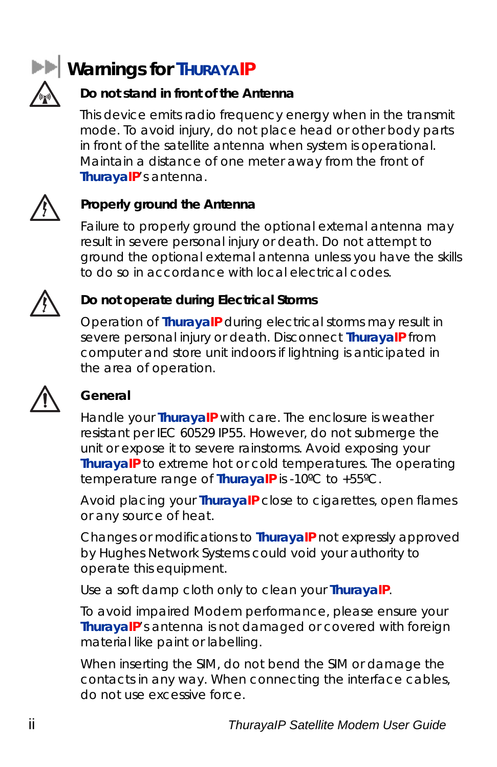

### **Warnings for THURAYAIP**

#### **Do not stand in front of the Antenna**

This device emits radio frequency energy when in the transmit mode. To avoid injury, do not place head or other body parts in front of the satellite antenna when system is operational. Maintain a distance of one meter away from the front of **ThurayaIP**'s antenna.



#### **Properly ground the Antenna**

Failure to properly ground the optional external antenna may result in severe personal injury or death. Do not attempt to ground the optional external antenna unless you have the skills to do so in accordance with local electrical codes.



#### **Do not operate during Electrical Storms**

Operation of **ThurayaIP** during electrical storms may result in severe personal injury or death. Disconnect **ThurayaIP** from computer and store unit indoors if lightning is anticipated in the area of operation.



#### **General**

Handle your **ThurayaIP** with care. The enclosure is weather resistant per IEC 60529 IP55. However, do not submerge the unit or expose it to severe rainstorms. Avoid exposing your **ThurayaIP** to extreme hot or cold temperatures. The operating temperature range of **ThurayaIP** is -10ºC to +55ºC.

Avoid placing your **ThurayaIP** close to cigarettes, open flames or any source of heat.

Changes or modifications to **ThurayaIP** not expressly approved by Hughes Network Systems could void your authority to operate this equipment.

Use a soft damp cloth only to clean your **ThurayaIP**.

To avoid impaired Modem performance, please ensure your **ThurayaIP**'s antenna is not damaged or covered with foreign material like paint or labelling.

When inserting the SIM, do not bend the SIM or damage the contacts in any way. When connecting the interface cables, do not use excessive force.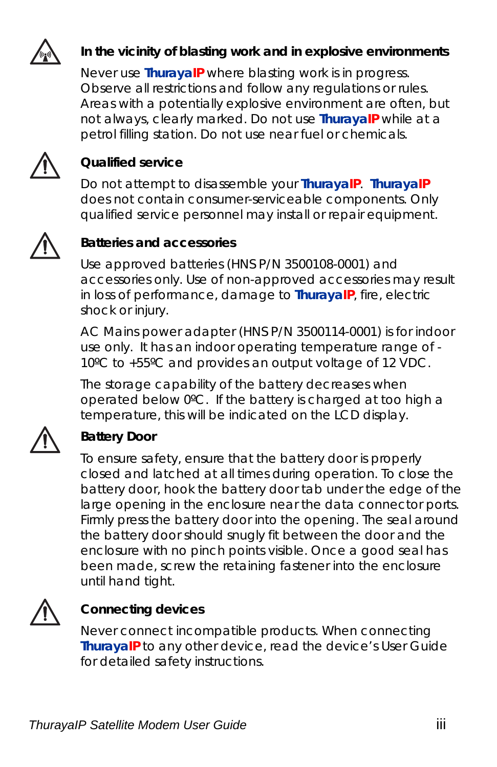

#### **In the vicinity of blasting work and in explosive environments**

Never use **ThurayaIP** where blasting work is in progress. Observe all restrictions and follow any regulations or rules. Areas with a potentially explosive environment are often, but not always, clearly marked. Do not use **ThurayaIP** while at a petrol filling station. Do not use near fuel or chemicals.



#### **Qualified service**

Do not attempt to disassemble your **ThurayaIP**. **ThurayaIP** does not contain consumer-serviceable components. Only qualified service personnel may install or repair equipment.



#### **Batteries and accessories**

Use approved batteries (HNS P/N 3500108-0001) and accessories only. Use of non-approved accessories may result in loss of performance, damage to **ThurayaIP**, fire, electric shock or injury.

AC Mains power adapter (HNS P/N 3500114-0001) is for indoor use only. It has an indoor operating temperature range of - 10ºC to +55ºC and provides an output voltage of 12 VDC.

The storage capability of the battery decreases when operated below 0ºC. If the battery is charged at too high a temperature, this will be indicated on the LCD display.



#### **Battery Door**

To ensure safety, ensure that the battery door is properly closed and latched at all times during operation. To close the battery door, hook the battery door tab under the edge of the large opening in the enclosure near the data connector ports. Firmly press the battery door into the opening. The seal around the battery door should snugly fit between the door and the enclosure with no pinch points visible. Once a good seal has been made, screw the retaining fastener into the enclosure until hand tight.



#### **Connecting devices**

Never connect incompatible products. When connecting **ThurayaIP** to any other device, read the device's User Guide for detailed safety instructions.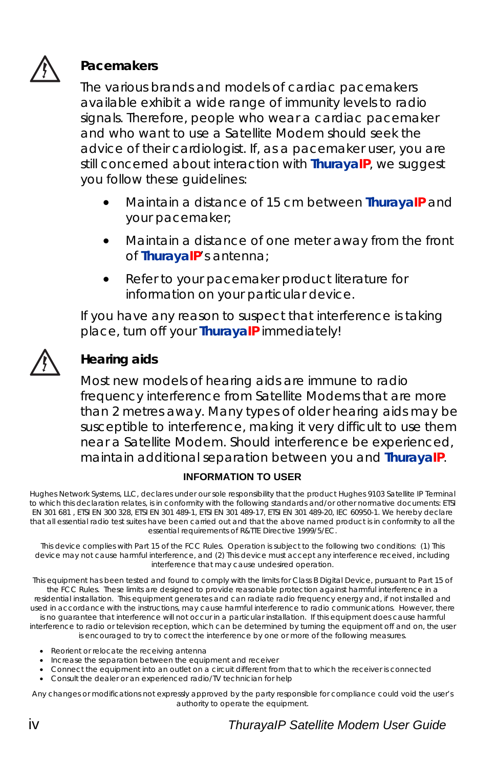

#### **Pacemakers**

The various brands and models of cardiac pacemakers available exhibit a wide range of immunity levels to radio signals. Therefore, people who wear a cardiac pacemaker and who want to use a Satellite Modem should seek the advice of their cardiologist. If, as a pacemaker user, you are still concerned about interaction with **ThurayaIP**, we suggest you follow these guidelines:

- Maintain a distance of 15 cm between **ThurayaIP** and your pacemaker;
- Maintain a distance of one meter away from the front of **ThurayaIP**'s antenna;
- Refer to your pacemaker product literature for information on your particular device.

If you have any reason to suspect that interference is taking place, turn off your **ThurayaIP** immediately!



#### **Hearing aids**

Most new models of hearing aids are immune to radio frequency interference from Satellite Modems that are more than 2 metres away. Many types of older hearing aids may be susceptible to interference, making it very difficult to use them near a Satellite Modem. Should interference be experienced, maintain additional separation between you and **ThurayaIP**.

#### **INFORMATION TO USER**

Hughes Network Systems, LLC, declares under our sole responsibility that the product Hughes 9103 Satellite IP Terminal to which this declaration relates, is in conformity with the following standards and/or other normative documents: ETSI EN 301 681 , ETSI EN 300 328, ETSI EN 301 489-1, ETSI EN 301 489-17, ETSI EN 301 489-20, IEC 60950-1. We hereby declare that all essential radio test suites have been carried out and that the above named product is in conformity to all the essential requirements of R&TTE Directive 1999/5/EC.

This device complies with Part 15 of the FCC Rules. Operation is subject to the following two conditions: (1) This device may not cause harmful interference, and (2) This device must accept any interference received, including interference that may cause undesired operation.

This equipment has been tested and found to comply with the limits for Class B Digital Device, pursuant to Part 15 of the FCC Rules. These limits are designed to provide reasonable protection against harmful interference in a residential installation. This equipment generates and can radiate radio frequency energy and, if not installed and used in accordance with the instructions, may cause harmful interference to radio communications. However, there is no guarantee that interference will not occur in a particular installation. If this equipment does cause harmful interference to radio or television reception, which can be determined by turning the equipment off and on, the user is encouraged to try to correct the interference by one or more of the following measures.

- Reorient or relocate the receiving antenna
- Increase the separation between the equipment and receiver
- Connect the equipment into an outlet on a circuit different from that to which the receiver is connected
- Consult the dealer or an experienced radio/TV technician for help

Any changes or modifications not expressly approved by the party responsible for compliance could void the user's authority to operate the equipment.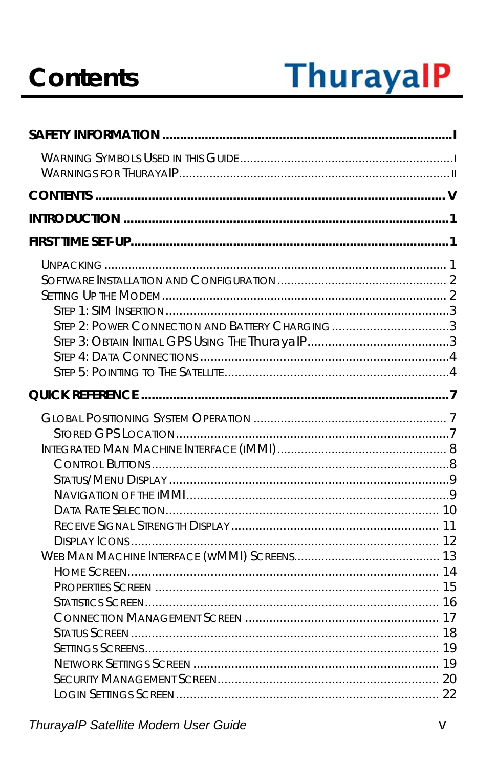# **Contents**

# **ThurayalP**

| STEP 2: POWER CONNECTION AND BATTERY CHARGING3 |  |
|------------------------------------------------|--|
|                                                |  |
|                                                |  |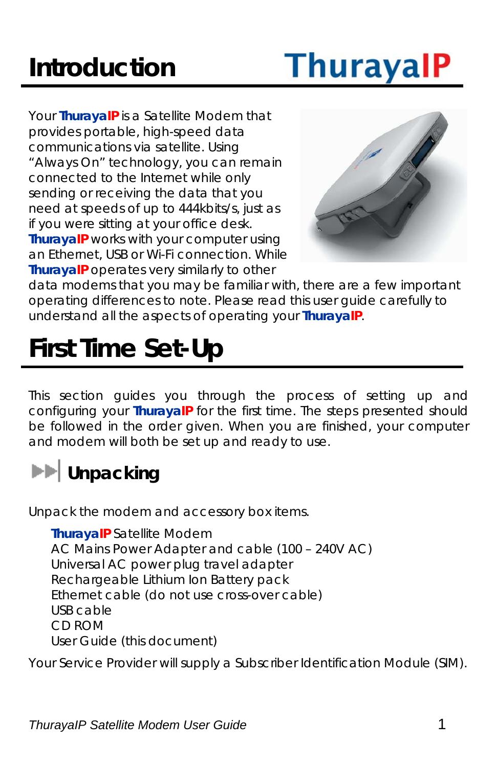# **Introduction**

# **ThurayalP**

Your **ThurayaIP** is a Satellite Modem that provides portable, high-speed data communications via satellite. Using "Always On" technology, you can remain connected to the Internet while only sending or receiving the data that you need at speeds of up to 444kbits/s, just as if you were sitting at your office desk. **ThurayaIP** works with your computer using an Ethernet, USB or Wi-Fi connection. While **ThurayaIP** operates very similarly to other



data modems that you may be familiar with, there are a few important operating differences to note. Please read this user guide carefully to understand all the aspects of operating your **ThurayaIP**.

# **First Time Set-Up**

This section guides you through the process of setting up and configuring your **ThurayaIP** for the first time. The steps presented should be followed in the order given. When you are finished, your computer and modem will both be set up and ready to use.

## **ED** Unpacking

Unpack the modem and accessory box items.

**ThurayaIP** Satellite Modem AC Mains Power Adapter and cable (100 – 240V AC) Universal AC power plug travel adapter Rechargeable Lithium Ion Battery pack Ethernet cable (do not use cross-over cable) USB cable CD ROM User Guide (this document)

Your Service Provider will supply a Subscriber Identification Module (SIM).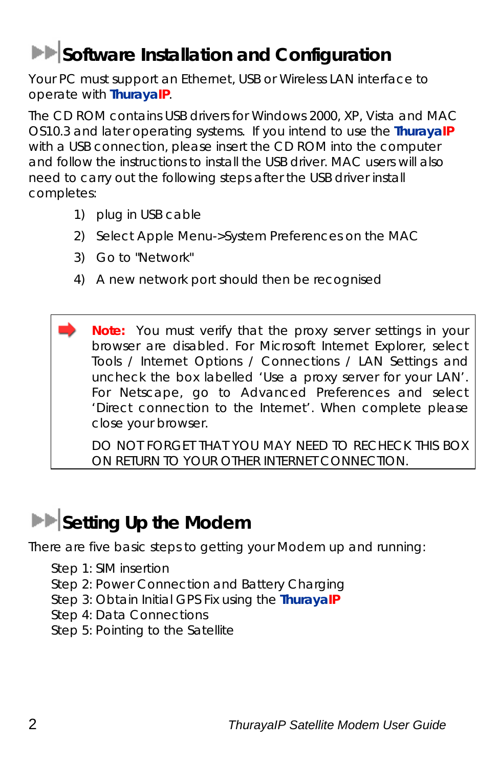### **Software Installation and Configuration**

Your PC must support an Ethernet, USB or Wireless LAN interface to operate with **ThurayaIP**.

The CD ROM contains USB drivers for Windows 2000, XP, Vista and MAC OS10.3 and later operating systems. If you intend to use the **ThurayaIP** with a USB connection, please insert the CD ROM into the computer and follow the instructions to install the USB driver. MAC users will also need to carry out the following steps after the USB driver install completes:

- 1) plug in USB cable
- 2) Select Apple Menu->System Preferences on the MAC
- 3) Go to "Network"
- 4) A new network port should then be recognised

**Note:** You must verify that the proxy server settings in your browser are disabled. For Microsoft Internet Explorer, select Tools / Internet Options / Connections / LAN Settings and uncheck the box labelled 'Use a proxy server for your LAN'. For Netscape, go to Advanced Preferences and select 'Direct connection to the Internet'. When complete please close your browser.

DO NOT FORGET THAT YOU MAY NEED TO RECHECK THIS BOX ON RETURN TO YOUR OTHER INTERNET CONNECTION.

### **Setting Up the Modem**

There are five basic steps to getting your Modem up and running:

Step 1: SIM insertion

- Step 2: Power Connection and Battery Charging
- Step 3: Obtain Initial GPS Fix using the **ThurayaIP**
- Step 4: Data Connections
- Step 5: Pointing to the Satellite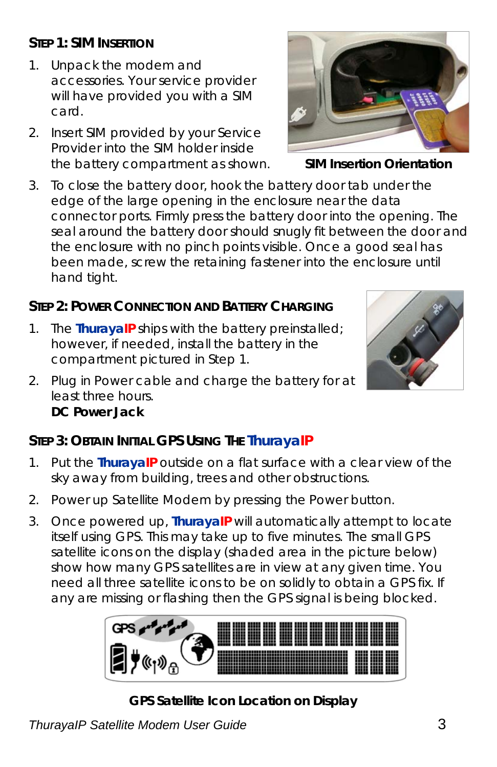#### **STEP 1: SIM INSERTION**

- 1. Unpack the modem and accessories. Your service provider will have provided you with a SIM card.
- 2. Insert SIM provided by your Service Provider into the SIM holder inside the battery compartment as shown. **SIM Insertion Orientation**
- 3. To close the battery door, hook the battery door tab under the edge of the large opening in the enclosure near the data connector ports. Firmly press the battery door into the opening. The seal around the battery door should snugly fit between the door and the enclosure with no pinch points visible. Once a good seal has been made, screw the retaining fastener into the enclosure until hand tight.

### **STEP 2: POWER CONNECTION AND BATTERY CHARGING**

- 1. The **ThurayaIP** ships with the battery preinstalled; however, if needed, install the battery in the compartment pictured in Step 1.
- 2. Plug in Power cable and charge the battery for at least three hours. **DC Power Jack**

#### **STEP 3: OBTAIN INITIAL GPS USING THE ThurayaIP**

- 1. Put the **ThurayaIP** outside on a flat surface with a clear view of the sky away from building, trees and other obstructions.
- 2. Power up Satellite Modem by pressing the Power button.
- 3. Once powered up, **ThurayaIP** will automatically attempt to locate itself using GPS. This may take up to five minutes. The small GPS satellite icons on the display (shaded area in the picture below) show how many GPS satellites are in view at any given time. You need all three satellite icons to be on solidly to obtain a GPS fix. If any are missing or flashing then the GPS signal is being blocked.



**GPS Satellite Icon Location on Display**



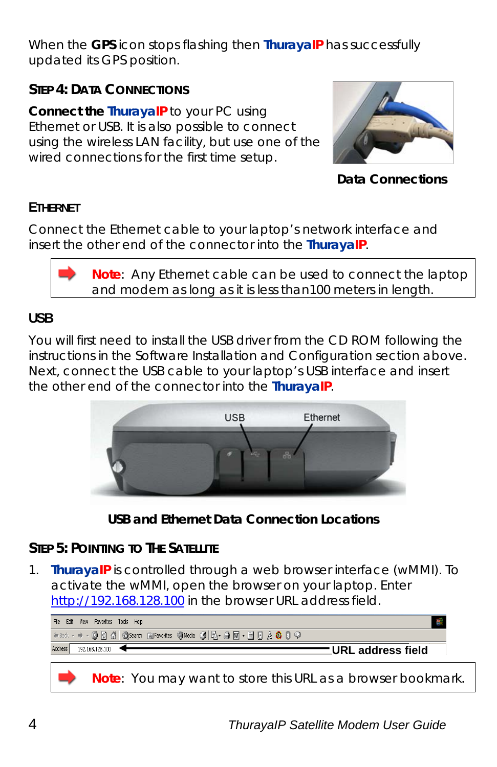When the **GPS** icon stops flashing then **ThurayaIP** has successfully updated its GPS position.

#### **STEP 4: DATA CONNECTIONS**

**Connect the ThurayaIP** to your PC using Ethernet or USB. It is also possible to connect using the wireless LAN facility, but use one of the wired connections for the first time setup.



**Data Connections**

#### **ETHERNET**

Connect the Ethernet cable to your laptop's network interface and insert the other end of the connector into the **ThurayaIP**.

> **Note**: Any Ethernet cable can be used to connect the laptop and modem as long as it is less than100 meters in length.

#### **USB**

You will first need to install the USB driver from the CD ROM following the instructions in the Software Installation and Configuration section above. Next, connect the USB cable to your laptop's USB interface and insert the other end of the connector into the **ThurayaIP**.



**USB and Ethernet Data Connection Locations**

#### **STEP 5: POINTING TO THE SATELLITE**

1. **ThurayaIP** is controlled through a web browser interface (wMMI). To activate the wMMI, open the browser on your laptop. Enter http://192.168.128.100 in the browser URL address field.

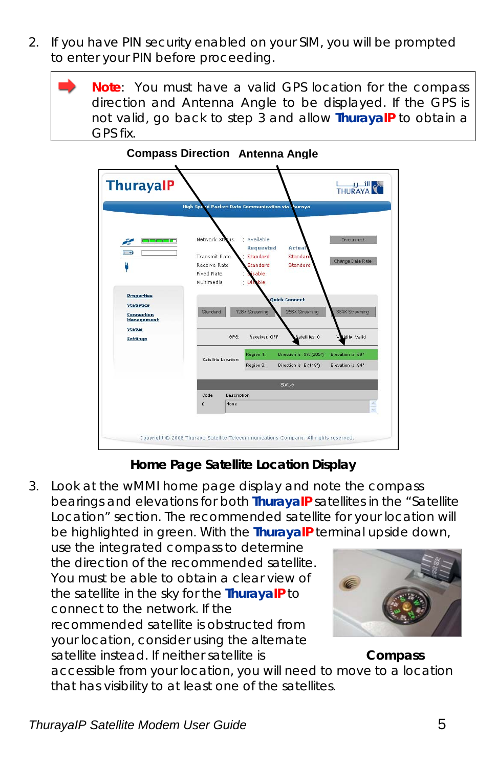- 2. If you have PIN security enabled on your SIM, you will be prompted to enter your PIN before proceeding.
	- **Note**: You must have a valid GPS location for the compass direction and Antenna Angle to be displayed. If the GPS is not valid, go back to step 3 and allow **ThurayaIP** to obtain a GPS fix.



#### **Compass Direction Antenna Angle**

**Home Page Satellite Location Display**

3. Look at the wMMI home page display and note the compass bearings and elevations for both **ThurayaIP** satellites in the "Satellite Location" section. The recommended satellite for your location will be highlighted in green. With the **ThurayaIP** terminal upside down,

use the integrated compass to determine the direction of the recommended satellite. You must be able to obtain a clear view of the satellite in the sky for the **ThurayaIP** to connect to the network. If the recommended satellite is obstructed from your location, consider using the alternate satellite instead. If neither satellite is **Compass** 



accessible from your location, you will need to move to a location that has visibility to at least one of the satellites.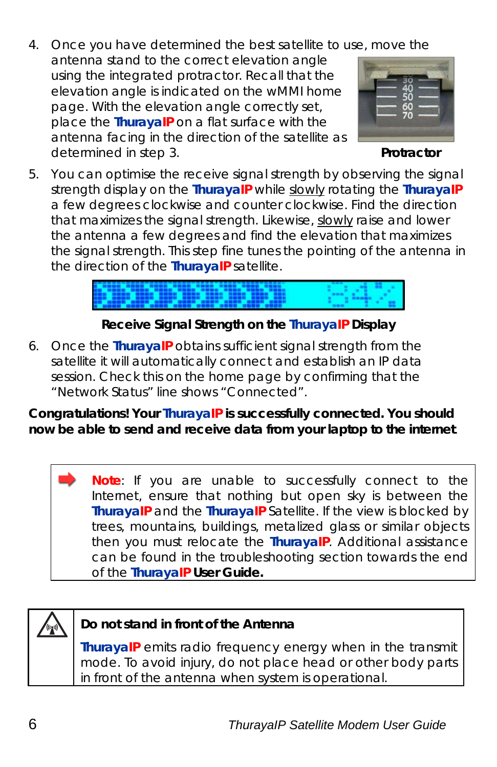4. Once you have determined the best satellite to use, move the antenna stand to the correct elevation angle using the integrated protractor. Recall that the elevation angle is indicated on the wMMI home page. With the elevation angle correctly set, place the **ThurayaIP** on a flat surface with the antenna facing in the direction of the satellite as determined in step 3. **Protractor**



5. You can optimise the receive signal strength by observing the signal strength display on the **ThurayaIP** while slowly rotating the **ThurayaIP** a few degrees clockwise and counter clockwise. Find the direction that maximizes the signal strength. Likewise, slowly raise and lower the antenna a few degrees and find the elevation that maximizes the signal strength. This step fine tunes the pointing of the antenna in the direction of the **ThurayaIP** satellite.

#### **Receive Signal Strength on the ThurayaIP Display**

6. Once the **ThurayaIP** obtains sufficient signal strength from the satellite it will automatically connect and establish an IP data session. Check this on the home page by confirming that the "Network Status" line shows "Connected".

#### **Congratulations! Your ThurayaIP is successfully connected. You should now be able to send and receive data from your laptop to the internet**.

**Note**: If you are unable to successfully connect to the Internet, ensure that nothing but open sky is between the **ThurayaIP** and the **ThurayaIP** Satellite. If the view is blocked by trees, mountains, buildings, metalized glass or similar objects then you must relocate the **ThurayaIP**. Additional assistance can be found in the troubleshooting section towards the end of the **ThurayaIP User Guide.**



#### **Do not stand in front of the Antenna**

**ThurayaIP** emits radio frequency energy when in the transmit mode. To avoid injury, do not place head or other body parts in front of the antenna when system is operational.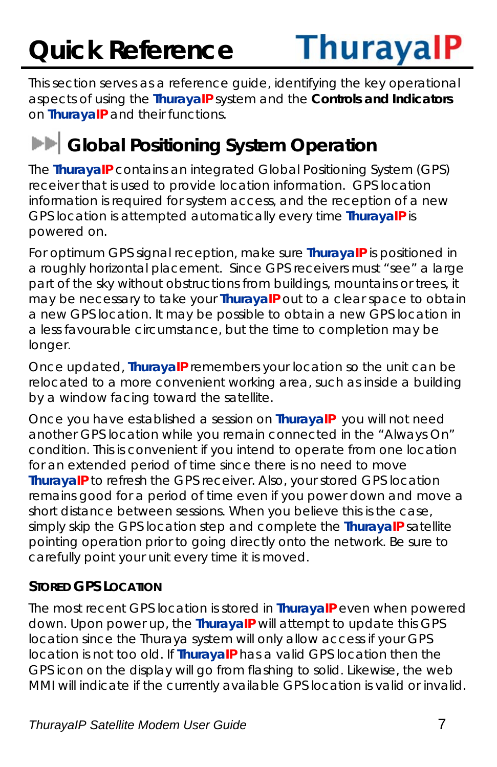# **Quick Reference**



This section serves as a reference guide, identifying the key operational aspects of using the **ThurayaIP** system and the **Controls and Indicators** on **ThurayaIP** and their functions.

### **EF** Global Positioning System Operation

The **ThurayaIP** contains an integrated Global Positioning System (GPS) receiver that is used to provide location information. GPS location information is required for system access, and the reception of a new GPS location is attempted automatically every time **ThurayaIP** is powered on.

For optimum GPS signal reception, make sure **ThurayaIP** is positioned in a roughly horizontal placement. Since GPS receivers must "see" a large part of the sky without obstructions from buildings, mountains or trees, it may be necessary to take your **ThurayaIP** out to a clear space to obtain a new GPS location. It may be possible to obtain a new GPS location in a less favourable circumstance, but the time to completion may be longer.

Once updated, **ThurayaIP** remembers your location so the unit can be relocated to a more convenient working area, such as inside a building by a window facing toward the satellite.

Once you have established a session on **ThurayaIP** you will not need another GPS location while you remain connected in the "Always On" condition. This is convenient if you intend to operate from one location for an extended period of time since there is no need to move **ThurayaIP** to refresh the GPS receiver. Also, your stored GPS location remains good for a period of time even if you power down and move a short distance between sessions. When you believe this is the case, simply skip the GPS location step and complete the **ThurayaIP** satellite pointing operation prior to going directly onto the network. Be sure to carefully point your unit every time it is moved.

#### **STORED GPS LOCATION**

The most recent GPS location is stored in **ThurayaIP** even when powered down. Upon power up, the **ThurayaIP** will attempt to update this GPS location since the Thuraya system will only allow access if your GPS location is not too old. If **ThurayaIP** has a valid GPS location then the GPS icon on the display will go from flashing to solid. Likewise, the web MMI will indicate if the currently available GPS location is valid or invalid.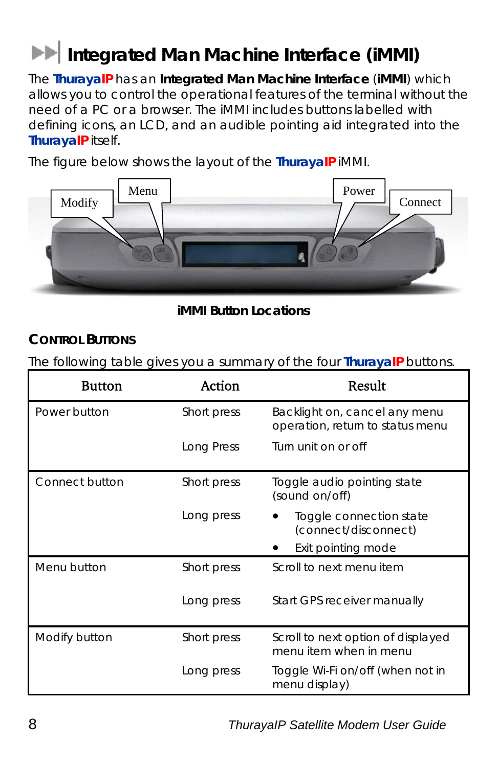## **EXTERNAL Integrated Man Machine Interface (iMMI)**

The **ThurayaIP** has an **Integrated Man Machine Interface** (**iMMI**) which allows you to control the operational features of the terminal without the need of a PC or a browser. The iMMI includes buttons labelled with defining icons, an LCD, and an audible pointing aid integrated into the **ThurayaIP** itself.

The figure below shows the layout of the **ThurayaIP** iMMI.



**iMMI Button Locations**

#### **CONTROL BUTTONS**

The following table gives you a summary of the four **ThurayaIP** buttons.

| <b>Button</b>  | Action      | Result                                                            |
|----------------|-------------|-------------------------------------------------------------------|
| Power button   | Short press | Backlight on, cancel any menu<br>operation, return to status menu |
|                | Long Press  | Turn unit on or off                                               |
| Connect button | Short press | Toggle audio pointing state<br>(sound on/off)                     |
|                | Long press  | Toggle connection state<br>(connect/disconnect)                   |
|                |             | Exit pointing mode                                                |
| Menu button    | Short press | Scroll to next menu item                                          |
|                | Long press  | Start GPS receiver manually                                       |
| Modify button  | Short press | Scroll to next option of displayed<br>menu item when in menu      |
|                | Long press  | Toggle Wi-Fi on/off (when not in<br>menu display)                 |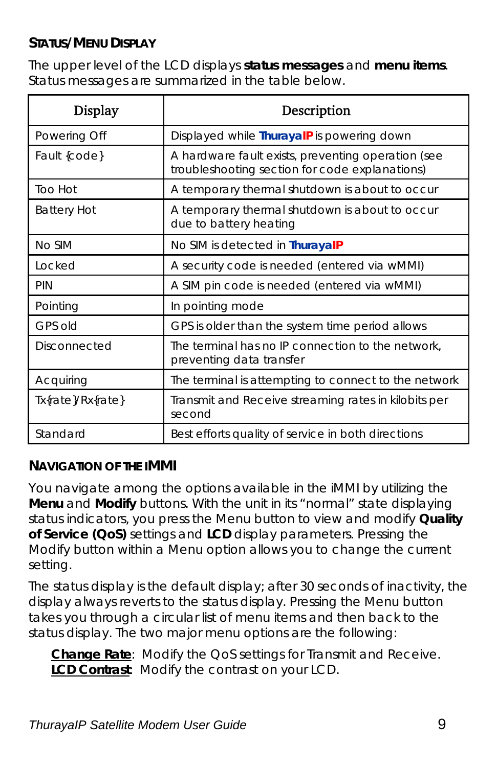#### **STATUS/MENU DISPLAY**

The upper level of the LCD displays **status messages** and **menu items**. Status messages are summarized in the table below.

| <b>Display</b>      | Description                                                                                          |
|---------------------|------------------------------------------------------------------------------------------------------|
| Powering Off        | Displayed while ThurayalP is powering down                                                           |
| Fault {code}        | A hardware fault exists, preventing operation (see<br>troubleshooting section for code explanations) |
| Too Hot             | A temporary thermal shutdown is about to occur                                                       |
| <b>Battery Hot</b>  | A temporary thermal shutdown is about to occur<br>due to battery heating                             |
| No SIM              | No SIM is detected in ThurayalP                                                                      |
| Locked              | A security code is needed (entered via wMMI)                                                         |
| PIN                 | A SIM pin code is needed (entered via wMMI)                                                          |
| Pointing            | In pointing mode                                                                                     |
| GPS old             | GPS is older than the system time period allows                                                      |
| <b>Disconnected</b> | The terminal has no IP connection to the network,<br>preventing data transfer                        |
| Acquiring           | The terminal is attempting to connect to the network                                                 |
| Tx{rate}/Rx{rate}   | Transmit and Receive streaming rates in kilobits per<br>second                                       |
| Standard            | Best efforts quality of service in both directions                                                   |

#### **NAVIGATION OF THE IMMI**

You navigate among the options available in the iMMI by utilizing the **Menu** and **Modify** buttons. With the unit in its "normal" state displaying status indicators, you press the Menu button to view and modify **Quality of Service (QoS)** settings and **LCD** display parameters. Pressing the Modify button within a Menu option allows you to change the current setting.

The status display is the default display; after 30 seconds of inactivity, the display always reverts to the status display. Pressing the Menu button takes you through a circular list of menu items and then back to the status display. The two major menu options are the following:

**Change Rate**: Modify the QoS settings for Transmit and Receive. **LCD Contrast**: Modify the contrast on your LCD.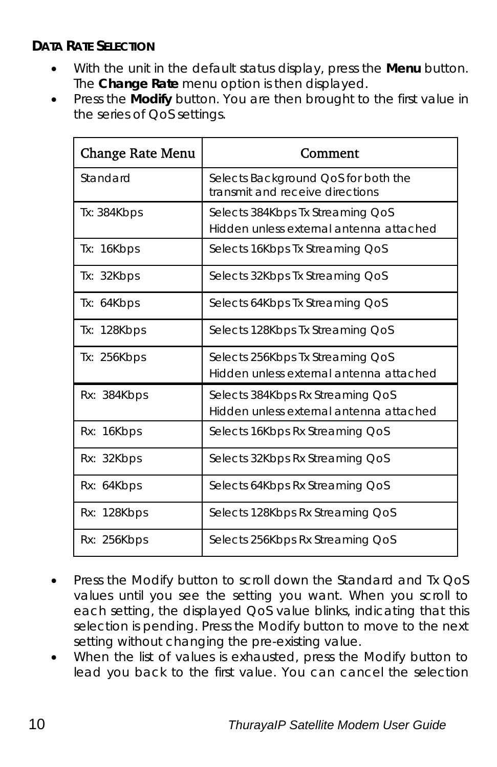#### **DATA RATE SELECTION**

- With the unit in the default status display, press the **Menu** button. The **Change Rate** menu option is then displayed.
- Press the **Modify** button. You are then brought to the first value in the series of QoS settings.

| <b>Change Rate Menu</b> | Comment                                                                     |
|-------------------------|-----------------------------------------------------------------------------|
| Standard                | Selects Background QoS for both the<br>transmit and receive directions      |
| Tx: 384Kbps             | Selects 384Kbps Tx Streaming QoS<br>Hidden unless external antenna attached |
| Tx: 16Kbps              | Selects 16Kbps Tx Streaming QoS                                             |
| Tx: 32Kbps              | Selects 32Kbps Tx Streaming QoS                                             |
| Tx: 64Kbps              | Selects 64Kbps Tx Streaming QoS                                             |
| Tx: 128Kbps             | Selects 128Kbps Tx Streaming QoS                                            |
| Tx: 256Kbps             | Selects 256Kbps Tx Streaming QoS<br>Hidden unless external antenna attached |
| Rx: 384Kbps             | Selects 384Kbps Rx Streaming QoS<br>Hidden unless external antenna attached |
| Rx: 16Kbps              | Selects 16Kbps Rx Streaming QoS                                             |
| Rx: 32Kbps              | Selects 32Kbps Rx Streaming QoS                                             |
| Rx: 64Kbps              | Selects 64Kbps Rx Streaming QoS                                             |
| Rx: 128Kbps             | Selects 128Kbps Rx Streaming QoS                                            |
| Rx: 256Kbps             | Selects 256Kbps Rx Streaming QoS                                            |

- Press the Modify button to scroll down the Standard and Tx QoS values until you see the setting you want. When you scroll to each setting, the displayed QoS value blinks, indicating that this selection is pending. Press the Modify button to move to the next setting without changing the pre-existing value.
- When the list of values is exhausted, press the Modify button to lead you back to the first value. You can cancel the selection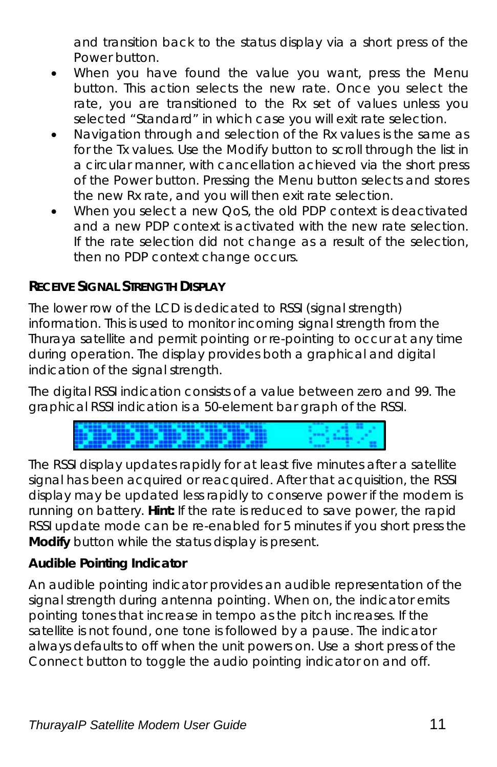and transition back to the status display via a short press of the Power button.

- When you have found the value you want, press the Menu button. This action selects the new rate. Once you select the rate, you are transitioned to the Rx set of values unless you selected "Standard" in which case you will exit rate selection.
- Navigation through and selection of the Rx values is the same as for the Tx values. Use the Modify button to scroll through the list in a circular manner, with cancellation achieved via the short press of the Power button. Pressing the Menu button selects and stores the new Rx rate, and you will then exit rate selection.
- When you select a new OoS, the old PDP context is deactivated and a new PDP context is activated with the new rate selection. If the rate selection did not change as a result of the selection, then no PDP context change occurs.

#### **RECEIVE SIGNAL STRENGTH DISPLAY**

The lower row of the LCD is dedicated to RSSI (signal strength) information. This is used to monitor incoming signal strength from the Thuraya satellite and permit pointing or re-pointing to occur at any time during operation. The display provides both a graphical and digital indication of the signal strength.

The digital RSSI indication consists of a value between zero and 99. The graphical RSSI indication is a 50-element bar graph of the RSSI.



The RSSI display updates rapidly for at least five minutes after a satellite signal has been acquired or reacquired. After that acquisition, the RSSI display may be updated less rapidly to conserve power if the modem is running on battery. **Hint:** If the rate is reduced to save power, the rapid RSSI update mode can be re-enabled for 5 minutes if you short press the **Modify** button while the status display is present.

#### **Audible Pointing Indicator**

An audible pointing indicator provides an audible representation of the signal strength during antenna pointing. When on, the indicator emits pointing tones that increase in tempo as the pitch increases. If the satellite is not found, one tone is followed by a pause. The indicator always defaults to off when the unit powers on. Use a short press of the Connect button to toggle the audio pointing indicator on and off.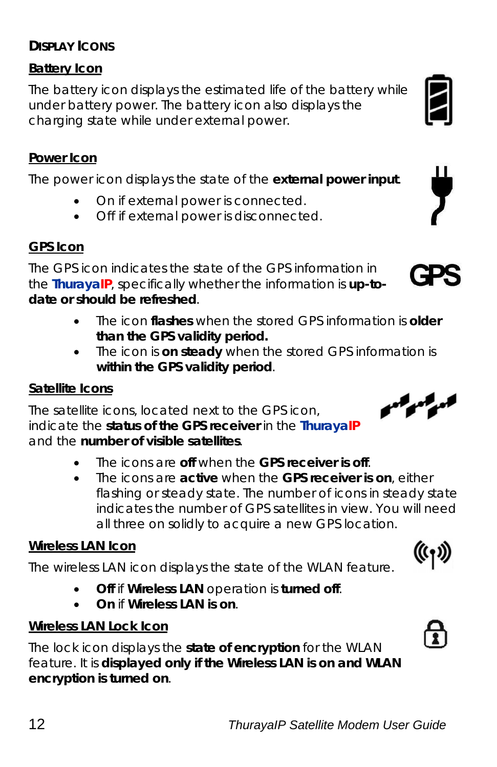#### **DISPLAY ICONS**

#### **Battery Icon**

The battery icon displays the estimated life of the battery while under battery power. The battery icon also displays the charging state while under external power.

#### **Power Icon**

The power icon displays the state of the **external power input**.

- On if external power is connected.
- Off if external power is disconnected.

#### **GPS Icon**

The GPS icon indicates the state of the GPS information in the **ThurayaIP**, specifically whether the information is **up-todate or should be refreshed**.

- The icon **flashes** when the stored GPS information is **older than the GPS validity period.**
- The icon is **on steady** when the stored GPS information is **within the GPS validity period**.

The satellite icons, located next to the GPS icon, indicate the **status of the GPS receiver** in the **ThurayaIP** and the **number of visible satellites**.

- The icons are **off** when the **GPS receiver is off**.
- The icons are **active** when the **GPS receiver is on**, either flashing or steady state. The number of icons in steady state indicates the number of GPS satellites in view. You will need all three on solidly to acquire a new GPS location.

#### **Wireless LAN Icon**

The wireless LAN icon displays the state of the WLAN feature.

- **Off** if **Wireless LAN** operation is **turned off**.
- **On** if **Wireless LAN is on**.

#### **Wireless LAN Lock Icon**

The lock icon displays the **state of encryption** for the WLAN feature. It is **displayed only if the Wireless LAN is on and WLAN encryption is turned on**.

#### **Satellite Icons**





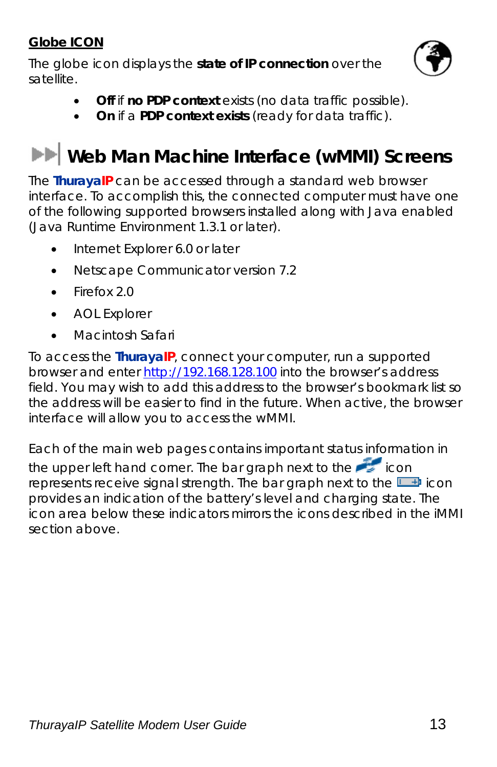#### **Globe ICON**

The globe icon displays the **state of IP connection** over the satellite.



- **Off** if **no PDP context** exists (no data traffic possible).
- **On** if a **PDP context exists** (ready for data traffic).

### **Web Man Machine Interface (wMMI) Screens**

The **ThurayaIP** can be accessed through a standard web browser interface. To accomplish this, the connected computer must have one of the following supported browsers installed along with Java enabled (Java Runtime Environment 1.3.1 or later).

- Internet Explorer 6.0 or later
- Netscape Communicator version 7.2
- Firefox 2.0
- AOL Explorer
- Macintosh Safari

To access the **ThurayaIP**, connect your computer, run a supported browser and enter http://192.168.128.100 into the browser's address field. You may wish to add this address to the browser's bookmark list so the address will be easier to find in the future. When active, the browser interface will allow you to access the wMMI.

Each of the main web pages contains important status information in the upper left hand corner. The bar graph next to the icon represents receive signal strength. The bar graph next to the  $\Box$  icon provides an indication of the battery's level and charging state. The icon area below these indicators mirrors the icons described in the iMMI section above.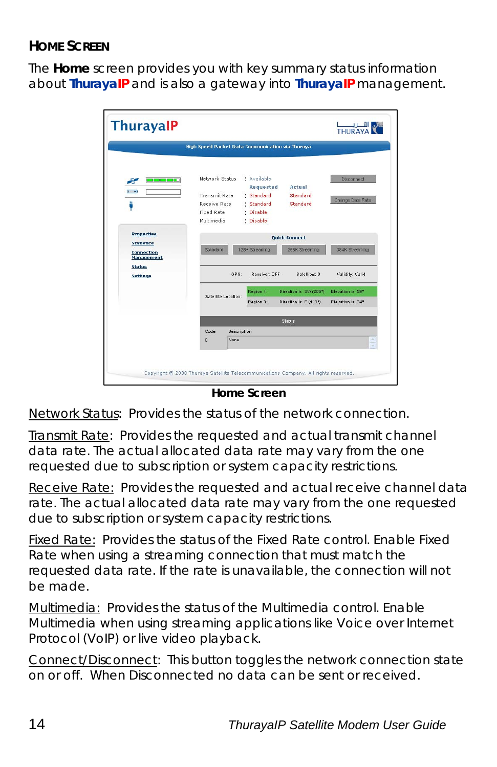#### **HOME SCREEN**

The **Home** screen provides you with key summary status information about **ThurayaIP** and is also a gateway into **ThurayaIP** management.

|                                               | High Speed Packet Data Communication via Thuraya              |                     |                                                                   |                                                 |                                      |
|-----------------------------------------------|---------------------------------------------------------------|---------------------|-------------------------------------------------------------------|-------------------------------------------------|--------------------------------------|
| صاحبا المائمان<br>æ<br>$1 + 1$<br>д           | Network Status<br>Transmit Rate<br>Receive Rate<br>Fixed Rate |                     | * Available<br>Requested<br>: Standard<br>· Standard<br>: Disable | Artual<br>Standard<br>Standard                  | Disconnect<br>Change Data Rate       |
| <b>Properties</b>                             | Multimedia                                                    |                     | : Disable                                                         | <b>Quick Connect</b>                            |                                      |
| <b>Statistics</b><br>Connection<br>Management | Standard                                                      |                     | 128K Streaming                                                    | 256K Streaming                                  | 384K Streaming                       |
| <b>Status</b><br><b>Settings</b>              |                                                               | GPS:                | <b>Receiver OFF</b>                                               | Satellites: 0                                   | Validity: Valid                      |
|                                               | Satellite Location:                                           |                     | Region 1:<br>Region 3:                                            | Direction is SW (205")<br>Direction is E (113") | Elevation is 59°<br>Elevation is 34* |
|                                               |                                                               |                     |                                                                   | Status                                          |                                      |
|                                               | Code<br>n                                                     | Description<br>None |                                                                   |                                                 |                                      |

*Home Screen* 

Network Status: Provides the status of the network connection.

Transmit Rate: Provides the requested and actual transmit channel data rate. The actual allocated data rate may vary from the one requested due to subscription or system capacity restrictions.

Receive Rate: Provides the requested and actual receive channel data rate. The actual allocated data rate may vary from the one requested due to subscription or system capacity restrictions.

Fixed Rate: Provides the status of the Fixed Rate control. Enable Fixed Rate when using a streaming connection that must match the requested data rate. If the rate is unavailable, the connection will not be made.

Multimedia: Provides the status of the Multimedia control. Enable Multimedia when using streaming applications like Voice over Internet Protocol (VoIP) or live video playback.

Connect/Disconnect: This button toggles the network connection state on or off. When Disconnected no data can be sent or received.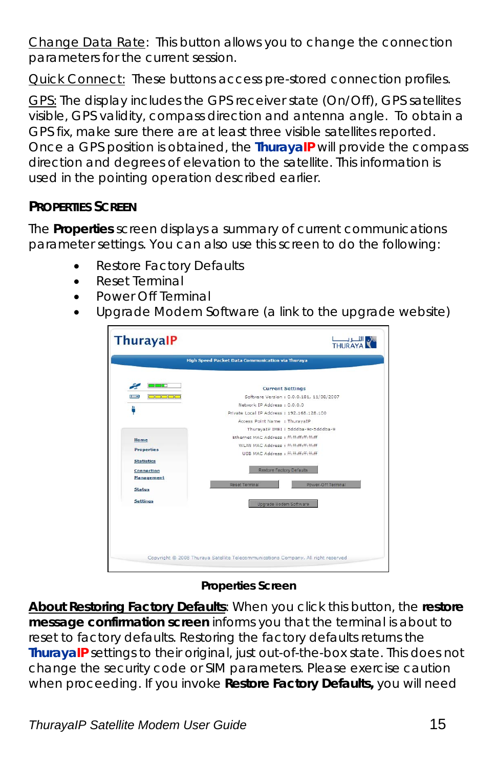Change Data Rate: This button allows you to change the connection parameters for the current session.

**Quick Connect:** These buttons access pre-stored connection profiles.

GPS: The display includes the GPS receiver state (On/Off), GPS satellites visible, GPS validity, compass direction and antenna angle. To obtain a GPS fix, make sure there are at least three visible satellites reported. Once a GPS position is obtained, the **ThurayaIP** will provide the compass direction and degrees of elevation to the satellite. This information is used in the pointing operation described earlier.

#### **PROPERTIES SCREEN**

The **Properties** screen displays a summary of current communications parameter settings. You can also use this screen to do the following:

- Restore Factory Defaults
- Reset Terminal
- Power Off Terminal
- Upgrade Modem Software (a link to the upgrade website)

| المات ال<br><b>Current Settings</b><br>والماركات<br>Software Version : 0.0.0.181, 11/08/2007<br>Network IP Address : 0.0.0.0<br>Private Local IP Address : 192.168.128.100<br>Access Point Name : ThuravaIP<br>ThurayaIP IMEI: 5dddba-9c-5dddba-9<br>Fthernet MAC Address : ff:ff:ff:ff:ff:ff:<br>WLAN MAC Address : ff:ff:ff:ff:ff:ff<br><b>Properties</b><br>USB MAC Address : ff:ff:ff:ff:ff:ff:ff<br><b>Restore Factory Defaults</b><br>Power-Off Terminal<br>Reset Terminal |                   | High Speed Packet Data Communication via Thuraya |
|----------------------------------------------------------------------------------------------------------------------------------------------------------------------------------------------------------------------------------------------------------------------------------------------------------------------------------------------------------------------------------------------------------------------------------------------------------------------------------|-------------------|--------------------------------------------------|
|                                                                                                                                                                                                                                                                                                                                                                                                                                                                                  |                   |                                                  |
|                                                                                                                                                                                                                                                                                                                                                                                                                                                                                  | $1 + 1$           |                                                  |
|                                                                                                                                                                                                                                                                                                                                                                                                                                                                                  | щ                 |                                                  |
|                                                                                                                                                                                                                                                                                                                                                                                                                                                                                  |                   |                                                  |
|                                                                                                                                                                                                                                                                                                                                                                                                                                                                                  |                   |                                                  |
|                                                                                                                                                                                                                                                                                                                                                                                                                                                                                  |                   |                                                  |
|                                                                                                                                                                                                                                                                                                                                                                                                                                                                                  | Home              |                                                  |
|                                                                                                                                                                                                                                                                                                                                                                                                                                                                                  |                   |                                                  |
|                                                                                                                                                                                                                                                                                                                                                                                                                                                                                  |                   |                                                  |
|                                                                                                                                                                                                                                                                                                                                                                                                                                                                                  | <b>Statistics</b> |                                                  |
|                                                                                                                                                                                                                                                                                                                                                                                                                                                                                  | Connection        |                                                  |
|                                                                                                                                                                                                                                                                                                                                                                                                                                                                                  | Management        |                                                  |
|                                                                                                                                                                                                                                                                                                                                                                                                                                                                                  | <b>Status</b>     |                                                  |
|                                                                                                                                                                                                                                                                                                                                                                                                                                                                                  | <b>Settings</b>   |                                                  |
| Upgrade Modem Software                                                                                                                                                                                                                                                                                                                                                                                                                                                           |                   |                                                  |
|                                                                                                                                                                                                                                                                                                                                                                                                                                                                                  |                   |                                                  |
|                                                                                                                                                                                                                                                                                                                                                                                                                                                                                  |                   |                                                  |
|                                                                                                                                                                                                                                                                                                                                                                                                                                                                                  |                   |                                                  |
|                                                                                                                                                                                                                                                                                                                                                                                                                                                                                  |                   |                                                  |

#### *Properties Screen*

**About Restoring Factory Defaults**: When you click this button, the **restore message confirmation screen** informs you that the terminal is about to reset to factory defaults. Restoring the factory defaults returns the **ThurayaIP** settings to their original, just out-of-the-box state. This does not change the security code or SIM parameters. Please exercise caution when proceeding. If you invoke **Restore Factory Defaults,** you will need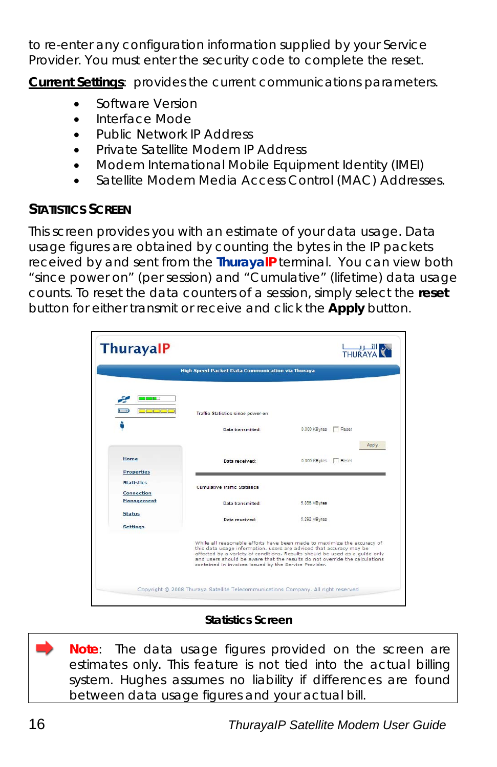to re-enter any configuration information supplied by your Service Provider. You must enter the security code to complete the reset.

**Current Settings**: provides the current communications parameters.

- Software Version
- Interface Mode
- Public Network IP Address
- Private Satellite Modem IP Address
- Modem International Mobile Equipment Identity (IMEI)
- Satellite Modem Media Access Control (MAC) Addresses.

#### **STATISTICS SCREEN**

This screen provides you with an estimate of your data usage. Data usage figures are obtained by counting the bytes in the IP packets received by and sent from the **ThurayaIP** terminal. You can view both "since power on" (per session) and "Cumulative" (lifetime) data usage counts. To reset the data counters of a session, simply select the **reset** button for either transmit or receive and click the **Apply** button.

|                                     | High Speed Packet Data Communication via Thuraya      |                                                                                                                                                                                                                                                                                                              |
|-------------------------------------|-------------------------------------------------------|--------------------------------------------------------------------------------------------------------------------------------------------------------------------------------------------------------------------------------------------------------------------------------------------------------------|
| المادين<br>$1 - 49$<br><b>COLOR</b> | Traffic Statistics since power-on                     |                                                                                                                                                                                                                                                                                                              |
| д                                   | <b>Data transmitted:</b>                              | 0.000 KBytes F Reset                                                                                                                                                                                                                                                                                         |
|                                     |                                                       | Apply                                                                                                                                                                                                                                                                                                        |
| Home                                | Data received:                                        | 0.000 KBytes F Reset                                                                                                                                                                                                                                                                                         |
| <b>Properties</b>                   |                                                       |                                                                                                                                                                                                                                                                                                              |
| <b>Statistics</b><br>Connection     | <b>Cumulative Traffic Statistics</b>                  |                                                                                                                                                                                                                                                                                                              |
| <b>Management</b>                   | <b>Data transmitted:</b>                              | 5.896 MBytes                                                                                                                                                                                                                                                                                                 |
| <b>Status</b>                       | Data received:                                        | 5.292 MBytes                                                                                                                                                                                                                                                                                                 |
| <b>Settings</b>                     |                                                       |                                                                                                                                                                                                                                                                                                              |
|                                     | contained in invoices issued by the Service Provider. | While all reasonable efforts have been made to maximize the accuracy of<br>this data usage information, users are advised that accuracy may be<br>affected by a variety of conditions. Results should be used as a quide only<br>and users should be aware that the results do not override the calculations |

#### *Statistics Screen*

**Note**: The data usage figures provided on the screen are estimates only. This feature is not tied into the actual billing system. Hughes assumes no liability if differences are found between data usage figures and your actual bill.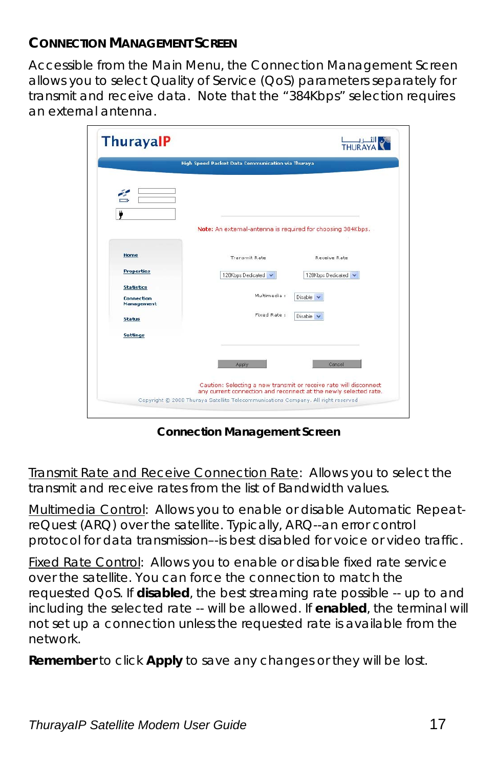#### **CONNECTION MANAGEMENT SCREEN**

Accessible from the Main Menu, the Connection Management Screen allows you to select Quality of Service (QoS) parameters separately for transmit and receive data. Note that the "384Kbps" selection requires an external antenna.

|                                 | High Speed Packet Data Communication via Thuraya            |                   |
|---------------------------------|-------------------------------------------------------------|-------------------|
|                                 |                                                             |                   |
|                                 | Note: An external-antenna is required for choosing 384Kbps. |                   |
| Home                            | <b>Transmit Rate</b>                                        | Receive Rate      |
| <b>Properties</b>               | 128Kbps Dedicated V                                         | 128Kbps Dedicated |
| <b>Statistics</b>               |                                                             |                   |
| <b>Connection</b><br>Management | Multimedia :                                                | Disable $\vee$    |
| <b>Status</b>                   | Fixed Rate:                                                 | Disable v         |
| <b>Settings</b>                 |                                                             |                   |
|                                 |                                                             |                   |
|                                 | Apply                                                       | Cancel            |
|                                 |                                                             |                   |

*Connection Management Screen* 

Transmit Rate and Receive Connection Rate: Allows you to select the transmit and receive rates from the list of Bandwidth values.

Multimedia Control: Allows you to enable or disable Automatic RepeatreQuest (ARQ) over the satellite. Typically, ARQ--an error control protocol for data transmission–-is best disabled for voice or video traffic.

Fixed Rate Control: Allows you to enable or disable fixed rate service over the satellite. You can force the connection to match the requested QoS. If **disabled**, the best streaming rate possible -- up to and including the selected rate -- will be allowed. If **enabled**, the terminal will not set up a connection unless the requested rate is available from the network.

**Remember** to click **Apply** to save any changes or they will be lost.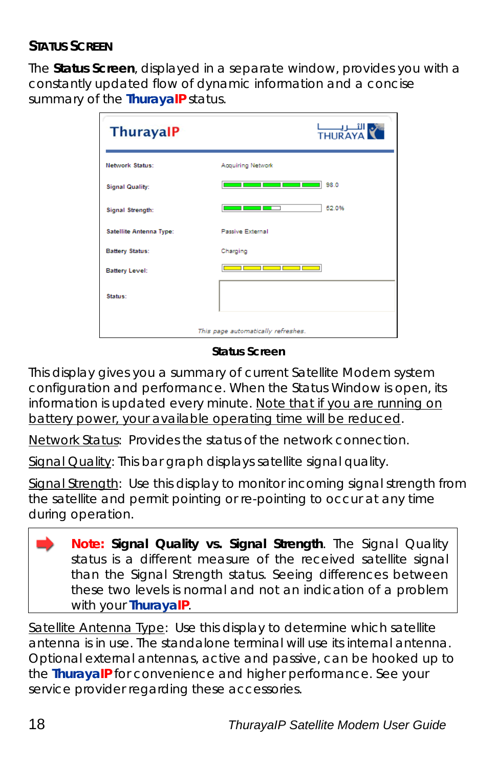#### **STATUS SCREEN**

The **Status Screen**, displayed in a separate window, provides you with a constantly updated flow of dynamic information and a concise summary of the **ThurayaIP** status.

| <b>ThurayalP</b>        | التصريب<br>THURAYA                                                                                                                                                                                                                           |
|-------------------------|----------------------------------------------------------------------------------------------------------------------------------------------------------------------------------------------------------------------------------------------|
| <b>Network Status:</b>  | Acquiring Network                                                                                                                                                                                                                            |
| <b>Signal Quality:</b>  | <u>and the second part of the second part of the second part of the second part of the second part of the second part of the second part of the second part of the second part of the second part of the second part of the seco</u><br>98.0 |
| Signal Strength:        | 52.0%<br>11<br>—<br>—                                                                                                                                                                                                                        |
| Satellite Antenna Type: | <b>Passive External</b>                                                                                                                                                                                                                      |
| <b>Battery Status:</b>  | Charging                                                                                                                                                                                                                                     |
| <b>Battery Level:</b>   | المستحدث المتناسب                                                                                                                                                                                                                            |
| Status:                 |                                                                                                                                                                                                                                              |
|                         | This page automatically refreshes.                                                                                                                                                                                                           |

*Status Screen* 

This display gives you a summary of current Satellite Modem system configuration and performance. When the Status Window is open, its information is updated every minute. *Note that if you are running on battery power, your available operating time will be reduced*.

Network Status: Provides the status of the network connection.

Signal Quality: This bar graph displays satellite signal quality.

Signal Strength: Use this display to monitor incoming signal strength from the satellite and permit pointing or re-pointing to occur at any time during operation.



Satellite Antenna Type: Use this display to determine which satellite antenna is in use. The standalone terminal will use its internal antenna. Optional external antennas, active and passive, can be hooked up to the **ThurayaIP** for convenience and higher performance. See your service provider regarding these accessories.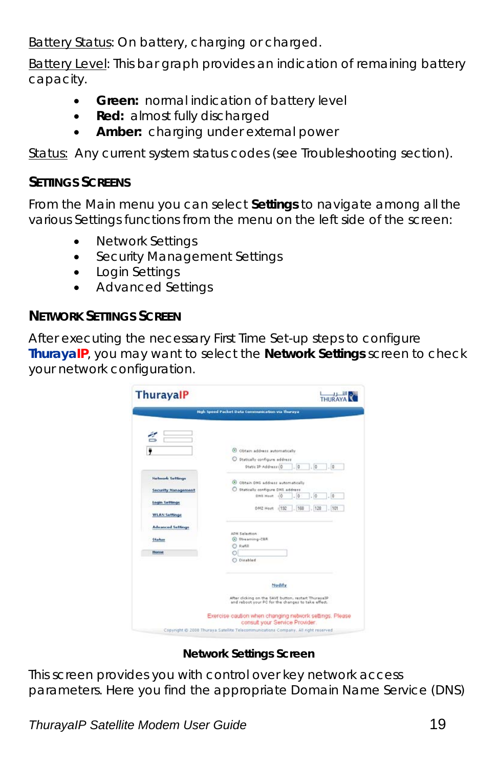Battery Status: On battery, charging or charged.

Battery Level: This bar graph provides an indication of remaining battery capacity.

- **Green:** normal indication of battery level
- **Red:** almost fully discharged
- **Amber:** charging under external power

Status: Any current system status codes (see Troubleshooting section).

#### **SETTINGS SCREENS**

From the Main menu you can select **Settings** to navigate among all the various Settings functions from the menu on the left side of the screen:

- **Network Settings**
- Security Management Settings
- Login Settings
- Advanced Settings

#### **NETWORK SETTINGS SCREEN**

After executing the necessary First Time Set-up steps to configure **ThurayaIP**, you may want to select the **Network Settings** screen to check your network configuration.

| <b>ThurayalP</b>           | THURAYA                                                                                                    |
|----------------------------|------------------------------------------------------------------------------------------------------------|
|                            | High Speed Packet Data Communication via Thuraya                                                           |
|                            |                                                                                                            |
|                            |                                                                                                            |
|                            | C obtain address automatically                                                                             |
|                            | O Statically configure address                                                                             |
|                            | Static IP-Address: 0<br>$\overline{0}$<br>$\frac{1}{2}$<br>$\overline{0}$                                  |
| <b>Network Settings</b>    | C Obtain DNS address automatically                                                                         |
| <b>Security Management</b> | Statically configure DNS address                                                                           |
|                            | DHS Host 10<br>$\sqrt{0}$<br>$\overline{0}$<br>0                                                           |
| <b>Login Settings</b>      |                                                                                                            |
| <b>WLAN Settings</b>       | DM2 Host : 152<br>166<br>.120<br>101                                                                       |
|                            |                                                                                                            |
| <b>Advanced Settings</b>   |                                                                                                            |
|                            | ADN Selection                                                                                              |
| <b>Status</b>              | C Streaming-CER<br>Rafill                                                                                  |
| Heme                       |                                                                                                            |
|                            | O Disabled                                                                                                 |
|                            | <b>Modify</b>                                                                                              |
|                            |                                                                                                            |
|                            | After clicking on the SAVE button, restart ThurayaIP<br>and reboot your PC for the changes to take effect. |
|                            | Exercise caution when changing network settings. Please                                                    |

*Network Settings Screen* 

This screen provides you with control over key network access parameters. Here you find the appropriate Domain Name Service (DNS)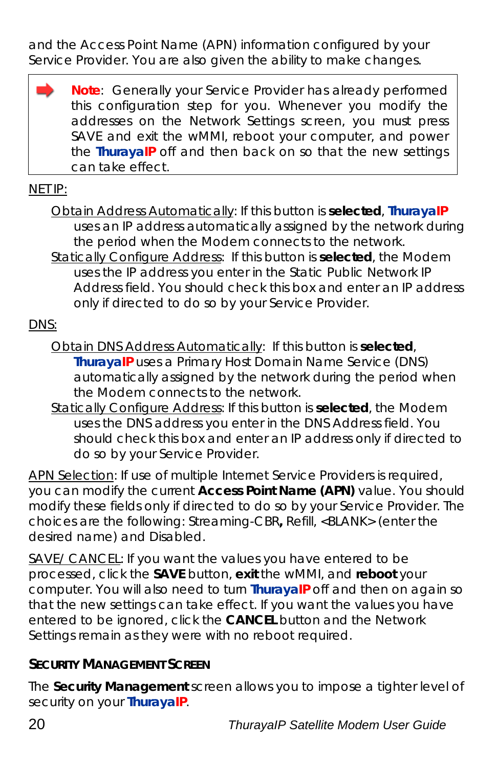and the Access Point Name (APN) information configured by your Service Provider. You are also given the ability to make changes.

**Note**: Generally your Service Provider has already performed this configuration step for you. Whenever you modify the addresses on the Network Settings screen, you must press SAVE and exit the wMMI, reboot your computer, and power the **ThurayaIP** off and then back on so that the new settings can take effect.

#### NET IP:

Obtain Address Automatically: If this button is **selected**, **ThurayaIP** uses an IP address automatically assigned by the network during the period when the Modem connects to the network. Statically Configure Address: If this button is **selected**, the Modem uses the IP address you enter in the Static Public Network IP Address field. You should check this box and enter an IP address only if directed to do so by your Service Provider.

#### DNS:

- Obtain DNS Address Automatically: If this button is **selected**, **ThurayaIP** uses a Primary Host Domain Name Service (DNS) automatically assigned by the network during the period when the Modem connects to the network.
- Statically Configure Address: If this button is **selected**, the Modem uses the DNS address you enter in the DNS Address field. You should check this box and enter an IP address only if directed to do so by your Service Provider.

APN Selection: If use of multiple Internet Service Providers is required, you can modify the current **Access Point Name (APN)** value. You should modify these fields only if directed to do so by your Service Provider. The choices are the following: Streaming-CBR**,** Refill, <BLANK> (enter the desired name) and Disabled.

SAVE/ CANCEL: If you want the values you have entered to be processed, click the **SAVE** button, **exit** the wMMI, and **reboot** your computer. You will also need to turn **ThurayaIP** off and then on again so that the new settings can take effect. If you want the values you have entered to be ignored, click the **CANCEL** button and the Network Settings remain as they were with no reboot required.

#### **SECURITY MANAGEMENT SCREEN**

The **Security Management** screen allows you to impose a tighter level of security on your **ThurayaIP**.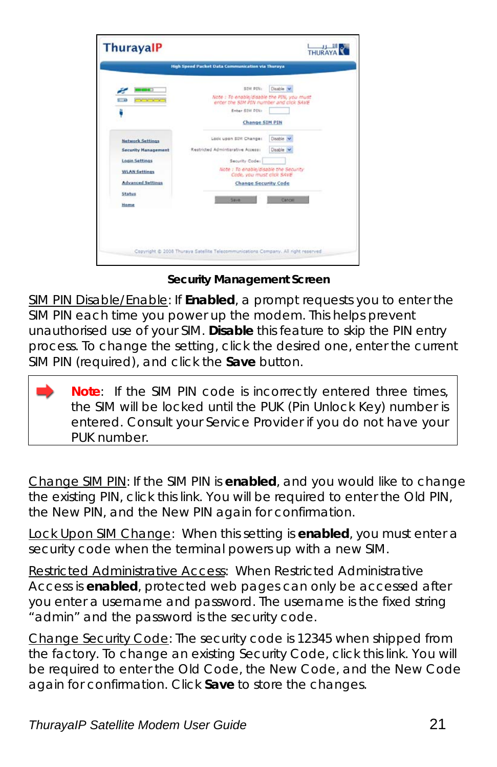|                            | <b>High Speed Packet Data Communication via Thuraya</b>                               |                  |
|----------------------------|---------------------------------------------------------------------------------------|------------------|
|                            |                                                                                       |                  |
|                            | STM DIN:                                                                              | Disable N        |
| $-1$<br><u>esere</u>       | Note : To enable/disable the PIN, you must<br>enter the SIM PIN number and click SAVE |                  |
|                            | Enter SIM DIN:                                                                        |                  |
|                            | <b>Change SIM PIN</b>                                                                 |                  |
| Network Settings           | Lock upon SIM Change:                                                                 | Disable <b>V</b> |
| <b>Security Hanagement</b> | Restricted Adminiterative Access:                                                     | Disable          |
| <b>Login Settings</b>      | Security Code:                                                                        |                  |
| <b>WLAN Settings</b>       | Note : To enable/disable the Security<br>Code, you must click SAVE                    |                  |
| <b>Advanced Settings</b>   | <b>Change Security Code</b>                                                           |                  |
| Status                     |                                                                                       |                  |
| Home                       | Save                                                                                  | Cancell          |
|                            |                                                                                       |                  |
|                            |                                                                                       |                  |
|                            |                                                                                       |                  |

*Security Management Screen* 

SIM PIN Disable/Enable: If **Enabled**, a prompt requests you to enter the SIM PIN each time you power up the modem. This helps prevent unauthorised use of your SIM. **Disable** this feature to skip the PIN entry process. To change the setting, click the desired one, enter the current SIM PIN (required), and click the **Save** button.

**Note**: If the SIM PIN code is incorrectly entered three times, the SIM will be locked until the PUK (Pin Unlock Key) number is entered. Consult your Service Provider if you do not have your PUK number.

Change SIM PIN: If the SIM PIN is **enabled**, and you would like to change the existing PIN, click this link. You will be required to enter the Old PIN, the New PIN, and the New PIN again for confirmation.

Lock Upon SIM Change: When this setting is **enabled**, you must enter a security code when the terminal powers up with a new SIM.

Restricted Administrative Access: When Restricted Administrative Access is **enabled**, protected web pages can only be accessed after you enter a username and password. The username is the fixed string "admin" and the password is the security code.

Change Security Code: The security code is 12345 when shipped from the factory. To change an existing Security Code, click this link. You will be required to enter the Old Code, the New Code, and the New Code again for confirmation. Click **Save** to store the changes.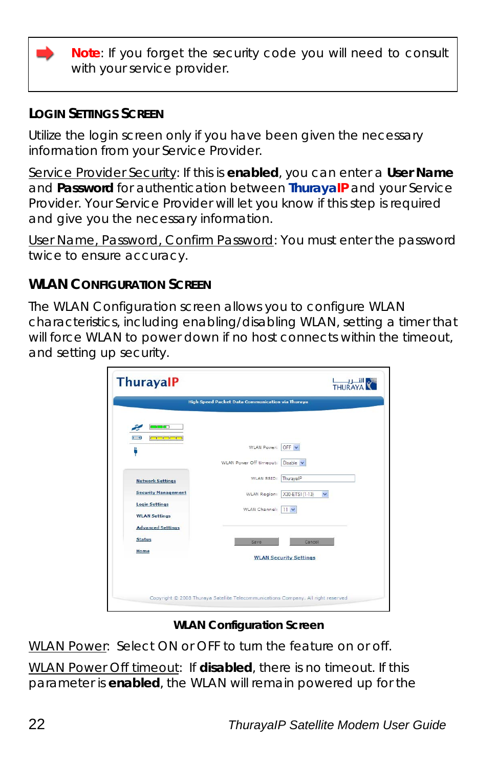**Note**: If you forget the security code you will need to consult with your service provider.

#### **LOGIN SETTINGS SCREEN**

Utilize the login screen only if you have been given the necessary information from your Service Provider.

Service Provider Security: If this is **enabled**, you can enter a **User Name**  and **Password** for authentication between **ThurayaIP** and your Service Provider. Your Service Provider will let you know if this step is required and give you the necessary information.

User Name, Password, Confirm Password: You must enter the password twice to ensure accuracy.

#### **WLAN CONFIGURATION SCREEN**

The WLAN Configuration screen allows you to configure WLAN characteristics, including enabling/disabling WLAN, setting a timer that will force WLAN to power down if no host connects within the timeout, and setting up security.

|                                 | High Speed Packet Data Communication via Thuraya |
|---------------------------------|--------------------------------------------------|
|                                 |                                                  |
| <b>BELLET</b>                   |                                                  |
| <b>Colorado de</b><br>$(1 - 4)$ |                                                  |
| д                               | WLAN Power:<br>OFF Y                             |
|                                 | WLAN Power Off timeout: Disable                  |
|                                 |                                                  |
| <b>Network Settings</b>         | WLAN SSID:<br>ThurayalP                          |
| <b>Security Management</b>      | WLAN Region:<br>X30-ETSI (1-13)<br>v             |
| <b>Login Settings</b>           | WLAN Channel: 11 V                               |
| <b>WLAN Settings</b>            |                                                  |
| <b>Advanced Settings</b>        |                                                  |
| <b>Status</b>                   | Save.<br>Cancel                                  |
| Home                            | <b>WLAN Security Settings</b>                    |
|                                 |                                                  |
|                                 |                                                  |
|                                 |                                                  |

#### *WLAN Configuration Screen*

WLAN Power: Select ON or OFF to turn the feature on or off.

WLAN Power Off timeout: If **disabled**, there is no timeout. If this parameter is **enabled**, the WLAN will remain powered up for the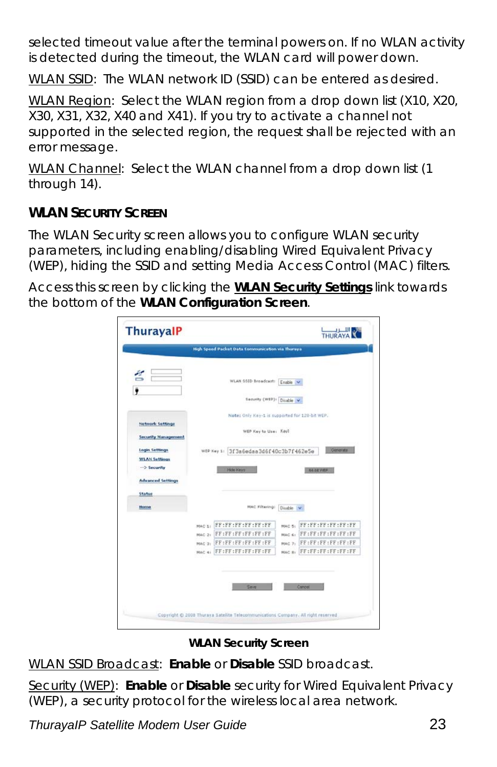selected timeout value after the terminal powers on. If no WLAN activity is detected during the timeout, the WLAN card will power down.

WLAN SSID: The WLAN network ID (SSID) can be entered as desired.

WLAN Region: Select the WLAN region from a drop down list (X10, X20, X30, X31, X32, X40 and X41). If you try to activate a channel not supported in the selected region, the request shall be rejected with an error message.

WLAN Channel: Select the WLAN channel from a drop down list (1 through 14).

#### **WLAN SECURITY SCREEN**

The WLAN Security screen allows you to configure WLAN security parameters, including enabling/disabling Wired Equivalent Privacy (WEP), hiding the SSID and setting Media Access Control (MAC) filters.

Access this screen by clicking the **WLAN Security Settings** link towards the bottom of the **WLAN Configuration Screen**.

|                                                |                                                  |            | THURAYA           |
|------------------------------------------------|--------------------------------------------------|------------|-------------------|
|                                                | High Speed Packet Data Communication via Thuraya |            |                   |
| É                                              | WLAN SSID Broadcast: Enable                      |            |                   |
|                                                |                                                  |            |                   |
|                                                | Security (WEP): Disable v                        |            |                   |
|                                                | Note: Only Key-1 is supported for 120-bit WEP.   |            |                   |
| Network Settings<br><b>Security Management</b> | WEP Key to Use: Key?                             |            |                   |
| <b>Login Settings</b>                          | 3f3a6edaa3d6f40c3b7f462e5e<br>WEP Key 1:         |            | Outverster        |
|                                                |                                                  |            |                   |
| <b>WLAN Settings</b>                           |                                                  |            |                   |
| -> Security                                    | Hide Keys                                        |            | <b>B4.2d VMH</b>  |
| <b>Advanced Settings</b>                       |                                                  |            |                   |
| <b>Status</b>                                  |                                                  |            |                   |
| Home                                           | MAC Filtering)                                   | Disable IV |                   |
|                                                | FF:FF:FF:FF:FF:FF<br>MAC 11                      | MAC 51     | FF:FF:FF:FF:FF:FF |
|                                                | MAC 2: FF : FF : FF : FF : FF : FF               | MAC 61     | FF:FF:FF:FF:FF:FF |
|                                                | MAC 31 FF:FF:FF:FF:FF:FF                         | MAC 7:     | FF:FF:FF:FF:FF:FF |

*WLAN Security Screen* 

WLAN SSID Broadcast: **Enable** or **Disable** SSID broadcast.

Security (WEP): **Enable** or **Disable** security for Wired Equivalent Privacy (WEP), a security protocol for the wireless local area network.

*ThurayaIP Satellite Modem User Guide* 23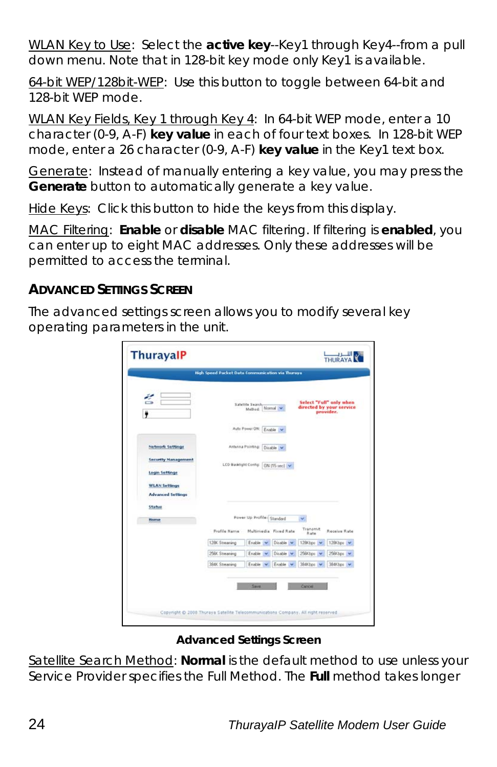WLAN Key to Use: Select the **active key**--Key1 through Key4--from a pull down menu. Note that in 128-bit key mode only Key1 is available.

64-bit WEP/128bit-WEP: Use this button to toggle between 64-bit and 128-bit WEP mode.

WLAN Key Fields, Key 1 through Key 4: In 64-bit WEP mode, enter a 10 character (0-9, A-F) **key value** in each of four text boxes. In 128-bit WEP mode, enter a 26 character (0-9, A-F) **key value** in the Key1 text box.

Generate: Instead of manually entering a key value, you may press the **Generate** button to automatically generate a key value.

Hide Keys: Click this button to hide the keys from this display.

MAC Filtering: **Enable** or **disable** MAC filtering. If filtering is **enabled**, you can enter up to eight MAC addresses. Only these addresses will be permitted to access the terminal.

#### **ADVANCED SETTINGS SCREEN**

The advanced settings screen allows you to modify several key operating parameters in the unit.

|                | Satellite Search-<br>Method: Normal w |           |                                                                                                                                                  | Select "Full" only when<br>directed by your service<br>provider. |
|----------------|---------------------------------------|-----------|--------------------------------------------------------------------------------------------------------------------------------------------------|------------------------------------------------------------------|
|                |                                       |           |                                                                                                                                                  |                                                                  |
|                |                                       |           |                                                                                                                                                  |                                                                  |
|                |                                       |           |                                                                                                                                                  |                                                                  |
|                |                                       |           |                                                                                                                                                  |                                                                  |
|                |                                       |           |                                                                                                                                                  |                                                                  |
| Profile Name   |                                       |           | Transnit<br>Rate                                                                                                                                 | Receive Rate                                                     |
| 128K Streaming | Enable                                | Disable W | 128Kbpc                                                                                                                                          | 128Kbps                                                          |
| 256K Streaming | Enable                                | Disable   | 256Kbps                                                                                                                                          | 256Kbps                                                          |
| 394K Streaming | Enable.                               | Enable    | 384Kbps V                                                                                                                                        | 384Kbps                                                          |
|                |                                       |           | Auto Power OR: Enable<br>Antenna Pointing: Disable<br>LCD Backlight Config: 0N [15 sec] V<br>Power Up Profile: Standard<br>Multimedia Fixed Rate |                                                                  |

*Advanced Settings Screen* 

Satellite Search Method: **Normal** is the default method to use unless your Service Provider specifies the Full Method. The **Full** method takes longer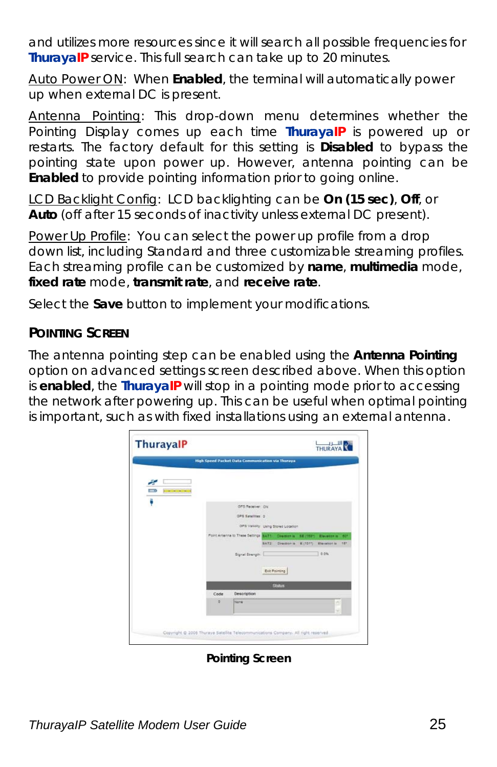and utilizes more resources since it will search all possible frequencies for **ThurayaIP** service. This full search can take up to 20 minutes.

Auto Power ON: When **Enabled**, the terminal will automatically power up when external DC is present.

Antenna Pointing: This drop-down menu determines whether the Pointing Display comes up each time **ThurayaIP** is powered up or restarts. The factory default for this setting is **Disabled** to bypass the pointing state upon power up. However, antenna pointing can be **Enabled** to provide pointing information prior to going online.

LCD Backlight Config: LCD backlighting can be **On (15 sec)**, **Off**, or **Auto** (off after 15 seconds of inactivity unless external DC present).

Power Up Profile: You can select the power up profile from a drop down list, including Standard and three customizable streaming profiles. Each streaming profile can be customized by **name**, **multimedia** mode, **fixed rate** mode, **transmit rate**, and **receive rate**.

Select the **Save** button to implement your modifications.

#### **POINTING SCREEN**

The antenna pointing step can be enabled using the **Antenna Pointing** option on advanced settings screen described above. When this option is **enabled**, the **ThurayaIP** will stop in a pointing mode prior to accessing the network after powering up. This can be useful when optimal pointing is important, such as with fixed installations using an external antenna.

|                                 |         | High Speed Packet Data Communication via Thuraya                           |                                        |        |     |
|---------------------------------|---------|----------------------------------------------------------------------------|----------------------------------------|--------|-----|
|                                 |         |                                                                            |                                        |        |     |
| ÷<br>$\Box$<br><b>CONTINUES</b> |         |                                                                            |                                        |        |     |
| ë                               |         |                                                                            |                                        |        |     |
|                                 |         | OFS Receiver: ON                                                           |                                        |        |     |
|                                 |         | <b>GPS Satallites O</b>                                                    |                                        |        |     |
|                                 |         |                                                                            | GPS Vallely Using Stored Location      |        |     |
|                                 |         | Point Antenna to These Settings BAT1 Director is SE (1831) Elevator is 601 |                                        |        |     |
|                                 |         |                                                                            | BATZ Direction is E11011) Elevation is |        | 167 |
|                                 |         | Signal Stranger:                                                           |                                        | 0.0%   |     |
|                                 |         |                                                                            | Exit Painting                          |        |     |
|                                 |         |                                                                            | <b>Status</b>                          |        |     |
|                                 | Code    | Description                                                                |                                        |        |     |
|                                 | $\circ$ | None                                                                       |                                        | B<br>÷ |     |
|                                 |         |                                                                            |                                        |        |     |

*Pointing Screen*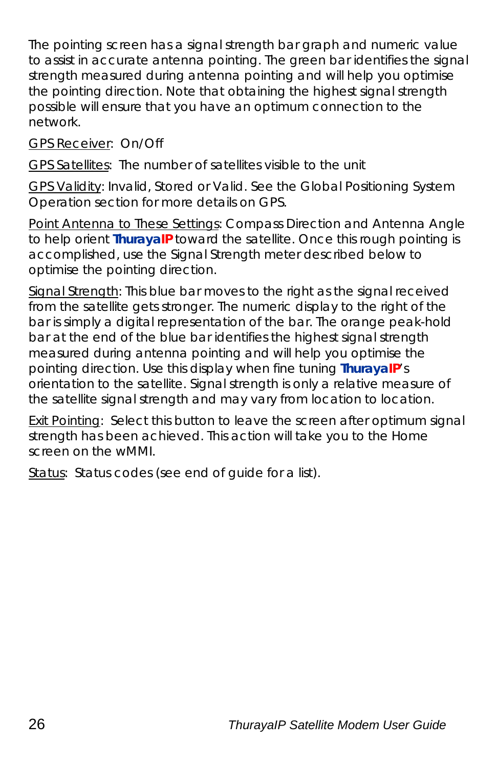The pointing screen has a signal strength bar graph and numeric value to assist in accurate antenna pointing. The green bar identifies the signal strength measured during antenna pointing and will help you optimise the pointing direction. Note that obtaining the highest signal strength possible will ensure that you have an optimum connection to the network.

GPS Receiver: On/Off

GPS Satellites: The number of satellites visible to the unit

GPS Validity: Invalid, Stored or Valid. See the Global Positioning System Operation section for more details on GPS.

Point Antenna to These Settings: Compass Direction and Antenna Angle to help orient **ThurayaIP** toward the satellite. Once this rough pointing is accomplished, use the Signal Strength meter described below to optimise the pointing direction.

Signal Strength: This blue bar moves to the right as the signal received from the satellite gets stronger. The numeric display to the right of the bar is simply a digital representation of the bar. The orange peak-hold bar at the end of the blue bar identifies the highest signal strength measured during antenna pointing and will help you optimise the pointing direction. Use this display when fine tuning **ThurayaIP**'s orientation to the satellite. Signal strength is only a relative measure of the satellite signal strength and may vary from location to location.

Exit Pointing: Select this button to leave the screen after optimum signal strength has been achieved. This action will take you to the Home screen on the wMMI.

Status: Status codes (see end of guide for a list).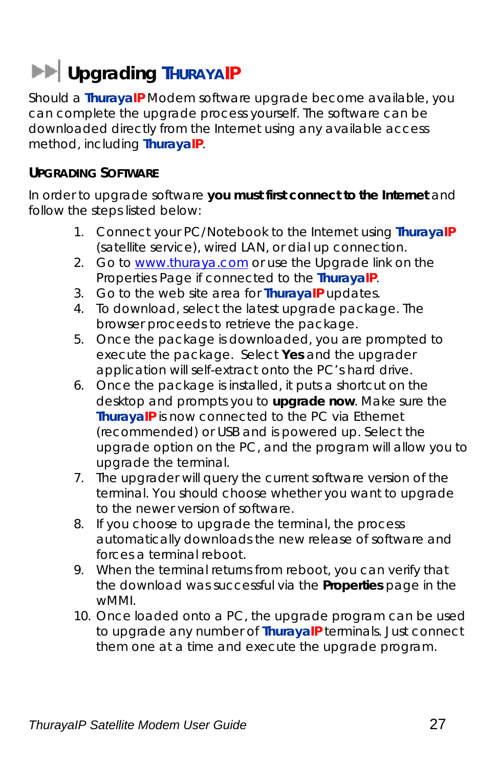# **EXP** Upgrading THURAYAIP

Should a **ThurayaIP** Modem software upgrade become available, you can complete the upgrade process yourself. The software can be downloaded directly from the Internet using any available access method, including **ThurayaIP**.

#### **UPGRADING SOFTWARE**

In order to upgrade software **you must first connect to the Internet** and follow the steps listed below:

- 1. Connect your PC/Notebook to the Internet using **ThurayaIP** (satellite service), wired LAN, or dial up connection.
- 2. Go to www.thuraya.com or use the Upgrade link on the Properties Page if connected to the **ThurayaIP**.
- 3. Go to the web site area for **ThurayaIP** updates.
- 4. To download, select the latest upgrade package. The browser proceeds to retrieve the package.
- 5. Once the package is downloaded, you are prompted to execute the package. Select **Yes** and the upgrader application will self-extract onto the PC's hard drive.
- 6. Once the package is installed, it puts a shortcut on the desktop and prompts you to **upgrade now**. Make sure the **ThurayaIP** is now connected to the PC via Ethernet (recommended) or USB and is powered up. Select the upgrade option on the PC, and the program will allow you to upgrade the terminal.
- 7. The upgrader will query the current software version of the terminal. You should choose whether you want to upgrade to the newer version of software.
- 8. If you choose to upgrade the terminal, the process automatically downloads the new release of software and forces a terminal reboot.
- 9. When the terminal returns from reboot, you can verify that the download was successful via the *Properties* page in the wMMI.
- 10. Once loaded onto a PC, the upgrade program can be used to upgrade any number of **ThurayaIP** terminals. Just connect them one at a time and execute the upgrade program.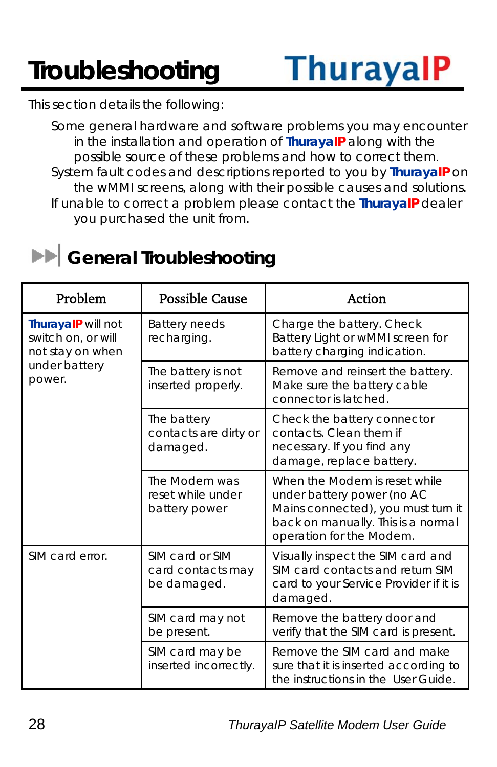# **Troubleshooting**

This section details the following:

Some general hardware and software problems you may encounter in the installation and operation of **ThurayaIP** along with the possible source of these problems and how to correct them. System fault codes and descriptions reported to you by **ThurayaIP** on the wMMI screens, along with their possible causes and solutions. If unable to correct a problem please contact the **ThurayaIP** dealer you purchased the unit from.

### **EX** General Troubleshooting

| Problem                                                                                 | <b>Possible Cause</b>                               | Action                                                                                                                                                              |
|-----------------------------------------------------------------------------------------|-----------------------------------------------------|---------------------------------------------------------------------------------------------------------------------------------------------------------------------|
| ThurayalP will not<br>switch on, or will<br>not stay on when<br>under battery<br>power. | <b>Battery needs</b><br>recharging.                 | Charge the battery. Check<br>Battery Light or wMMI screen for<br>battery charging indication.                                                                       |
|                                                                                         | The battery is not<br>inserted properly.            | Remove and reinsert the battery.<br>Make sure the battery cable<br>connector is latched.                                                                            |
|                                                                                         | The battery<br>contacts are dirty or<br>damaged.    | Check the battery connector<br>contacts. Clean them if<br>necessary. If you find any<br>damage, replace battery.                                                    |
|                                                                                         | The Modem was<br>reset while under<br>battery power | When the Modem is reset while<br>under battery power (no AC<br>Mains connected), you must turn it<br>back on manually. This is a normal<br>operation for the Modem. |
| SIM card error.                                                                         | SIM card or SIM<br>card contacts may<br>be damaged. | Visually inspect the SIM card and<br>SIM card contacts and return SIM<br>card to your Service Provider if it is<br>damaged.                                         |
|                                                                                         | SIM card may not<br>be present.                     | Remove the battery door and<br>verify that the SIM card is present.                                                                                                 |
|                                                                                         | SIM card may be<br>inserted incorrectly.            | Remove the SIM card and make<br>sure that it is inserted according to<br>the instructions in the User Guide.                                                        |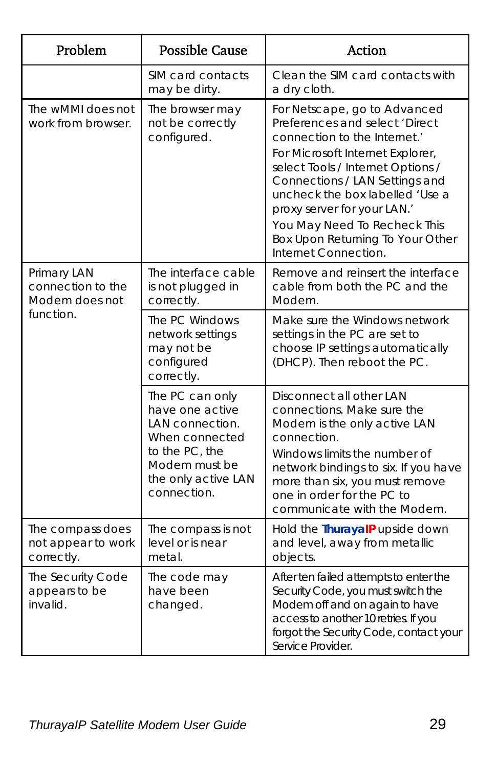| Problem                                              | <b>Possible Cause</b>                                                                                                                            | Action                                                                                                                                                                                                                                                                                                                                                                 |
|------------------------------------------------------|--------------------------------------------------------------------------------------------------------------------------------------------------|------------------------------------------------------------------------------------------------------------------------------------------------------------------------------------------------------------------------------------------------------------------------------------------------------------------------------------------------------------------------|
|                                                      | SIM card contacts<br>may be dirty.                                                                                                               | Clean the SIM card contacts with<br>a dry cloth.                                                                                                                                                                                                                                                                                                                       |
| The wMMI does not<br>work from browser.              | The browser may<br>not be correctly<br>configured.                                                                                               | For Netscape, go to Advanced<br>Preferences and select 'Direct<br>connection to the Internet.<br>For Microsoft Internet Explorer,<br>select Tools / Internet Options /<br>Connections / LAN Settings and<br>uncheck the box labelled 'Use a<br>proxy server for your LAN.'<br>You May Need To Recheck This<br>Box Upon Returning To Your Other<br>Internet Connection. |
| Primary LAN<br>connection to the<br>Modem does not   | The interface cable<br>is not plugged in<br>correctly.                                                                                           | Remove and reinsert the interface<br>cable from both the PC and the<br>Modem.                                                                                                                                                                                                                                                                                          |
| function.                                            | The PC Windows<br>network settings<br>may not be<br>configured<br>correctly.                                                                     | Make sure the Windows network<br>settings in the PC are set to<br>choose IP settings automatically<br>(DHCP). Then reboot the PC.                                                                                                                                                                                                                                      |
|                                                      | The PC can only<br>have one active<br>LAN connection.<br>When connected<br>to the PC, the<br>Modem must be<br>the only active LAN<br>connection. | Disconnect all other LAN<br>connections. Make sure the<br>Modem is the only active LAN<br>connection.<br>Windows limits the number of<br>network bindings to six. If you have<br>more than six, you must remove<br>one in order for the PC to<br>communicate with the Modem.                                                                                           |
| The compass does<br>not appear to work<br>correctly. | The compass is not<br>level or is near<br>metal.                                                                                                 | Hold the ThurayalP upside down<br>and level, away from metallic<br>objects.                                                                                                                                                                                                                                                                                            |
| The Security Code<br>appears to be<br>invalid.       | The code may<br>have been<br>changed.                                                                                                            | After ten failed attempts to enter the<br>Security Code, you must switch the<br>Modem off and on again to have<br>access to another 10 retries. If you<br>forgot the Security Code, contact your<br>Service Provider                                                                                                                                                   |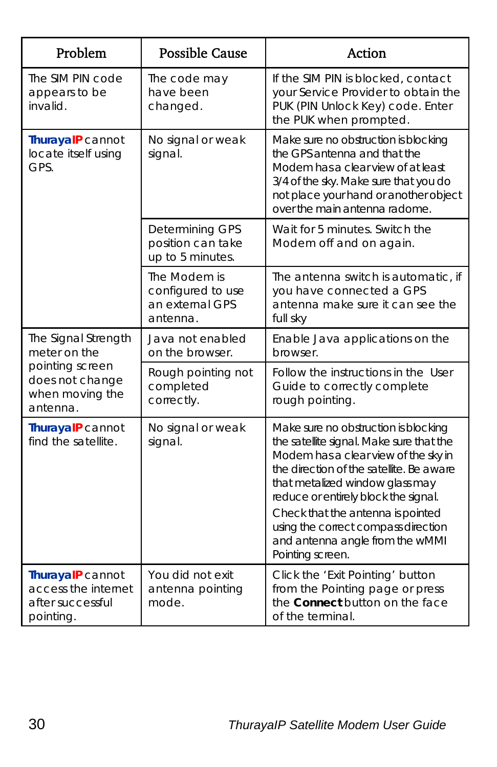| Problem                                                                                                  | <b>Possible Cause</b>                                            | <b>Action</b>                                                                                                                                                                                                                                                                                                                                                                      |
|----------------------------------------------------------------------------------------------------------|------------------------------------------------------------------|------------------------------------------------------------------------------------------------------------------------------------------------------------------------------------------------------------------------------------------------------------------------------------------------------------------------------------------------------------------------------------|
| The SIM PIN code<br>appears to be<br>invalid.                                                            | The code may<br>have been<br>changed.                            | If the SIM PIN is blocked, contact<br>your Service Provider to obtain the<br>PUK (PIN Unlock Key) code. Enter<br>the PUK when prompted.                                                                                                                                                                                                                                            |
| ThurayalP cannot<br>locate itself using<br>GPS.                                                          | No signal or weak<br>signal.                                     | Make sure no obstruction is blocking<br>the GPS antenna and that the<br>Modem has a clear view of at least<br>3/4 of the sky. Make sure that you do<br>not place your hand or another object<br>over the main antenna radome.                                                                                                                                                      |
|                                                                                                          | Determining GPS<br>position can take<br>up to 5 minutes.         | Wait for 5 minutes. Switch the<br>Modem off and on again.                                                                                                                                                                                                                                                                                                                          |
|                                                                                                          | The Modem is<br>configured to use<br>an external GPS<br>antenna. | The antenna switch is automatic, if<br>you have connected a GPS<br>antenna make sure it can see the<br>full sky                                                                                                                                                                                                                                                                    |
| The Signal Strength<br>meter on the<br>pointing screen<br>does not change<br>when moving the<br>antenna. | Java not enabled<br>on the browser.                              | Enable Java applications on the<br>browser.                                                                                                                                                                                                                                                                                                                                        |
|                                                                                                          | Rough pointing not<br>completed<br>correctly.                    | Follow the instructions in the User<br>Guide to correctly complete<br>rough pointing.                                                                                                                                                                                                                                                                                              |
| ThurayalP cannot<br>find the satellite.                                                                  | No signal or weak<br>signal.                                     | Make sure no obstruction is blocking<br>the satellite signal. Make sure that the<br>Modem has a clear view of the sky in<br>the direction of the satellite. Be aware<br>that metalized window glass may<br>reduce or entirely block the signal.<br>Check that the antenna is pointed<br>using the correct compass direction<br>and antenna angle from the wMMI<br>Pointing screen. |
| ThurayalP cannot<br>access the internet<br>after successful<br>pointing.                                 | You did not exit<br>antenna pointing<br>mode.                    | Click the 'Exit Pointing' button<br>from the Pointing page or press<br>the Connect button on the face<br>of the terminal.                                                                                                                                                                                                                                                          |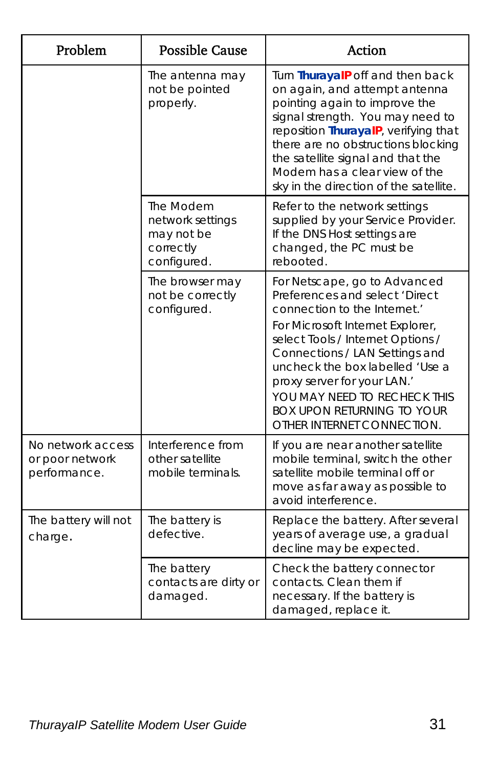| Problem                                              | <b>Possible Cause</b>                                                   | <b>Action</b>                                                                                                                                                                                                                                                                                                                                                                  |
|------------------------------------------------------|-------------------------------------------------------------------------|--------------------------------------------------------------------------------------------------------------------------------------------------------------------------------------------------------------------------------------------------------------------------------------------------------------------------------------------------------------------------------|
|                                                      | The antenna may<br>not be pointed<br>properly.                          | Turn ThurayalP off and then back<br>on again, and attempt antenna<br>pointing again to improve the<br>signal strength. You may need to<br>reposition ThurayalP, verifying that<br>there are no obstructions blocking<br>the satellite signal and that the<br>Modem has a clear view of the<br>sky in the direction of the satellite.                                           |
|                                                      | The Modem<br>network settings<br>may not be<br>correctly<br>configured. | Refer to the network settings<br>supplied by your Service Provider.<br>If the DNS Host settings are<br>changed, the PC must be<br>rebooted.                                                                                                                                                                                                                                    |
|                                                      | The browser may<br>not be correctly<br>configured.                      | For Netscape, go to Advanced<br>Preferences and select 'Direct<br>connection to the Internet.'<br>For Microsoft Internet Explorer,<br>select Tools / Internet Options /<br>Connections / LAN Settings and<br>uncheck the box labelled 'Use a<br>proxy server for your LAN.'<br>YOU MAY NEED TO RECHECK THIS<br><b>BOX UPON RETURNING TO YOUR</b><br>OTHER INTERNET CONNECTION. |
| No network access<br>or poor network<br>performance. | Interference from<br>other satellite<br>mobile terminals.               | If you are near another satellite<br>mobile terminal, switch the other<br>satellite mobile terminal off or<br>move as far away as possible to<br>avoid interference.                                                                                                                                                                                                           |
| The battery will not<br>charge.                      | The battery is<br>defective.                                            | Replace the battery. After several<br>years of average use, a gradual<br>decline may be expected.                                                                                                                                                                                                                                                                              |
|                                                      | The battery<br>contacts are dirty or<br>damaged.                        | Check the battery connector<br>contacts. Clean them if<br>necessary. If the battery is<br>damaged, replace it.                                                                                                                                                                                                                                                                 |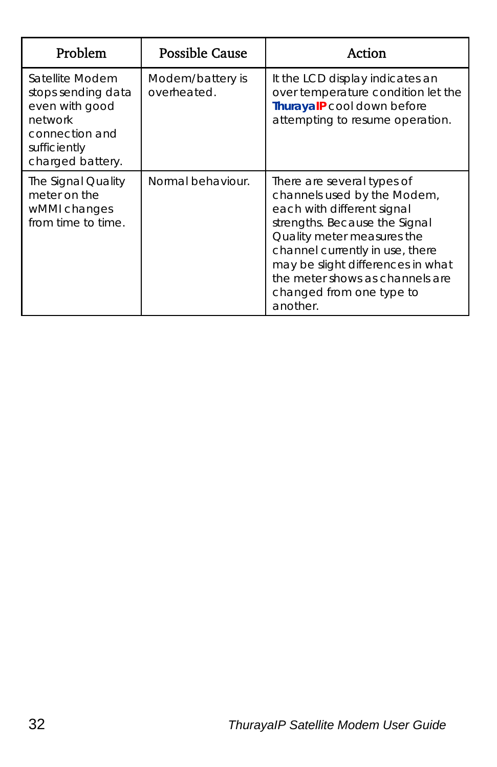| Problem                                                                                                                  | <b>Possible Cause</b>           | Action                                                                                                                                                                                                                                                                                                    |
|--------------------------------------------------------------------------------------------------------------------------|---------------------------------|-----------------------------------------------------------------------------------------------------------------------------------------------------------------------------------------------------------------------------------------------------------------------------------------------------------|
| Satellite Modem<br>stops sending data<br>even with good<br>network<br>connection and<br>sufficiently<br>charged battery. | Modem/battery is<br>overheated. | It the LCD display indicates an<br>over temperature condition let the<br>ThurayalP cool down before<br>attempting to resume operation.                                                                                                                                                                    |
| The Signal Quality<br>meter on the<br>wMMI changes<br>from time to time.                                                 | Normal behaviour.               | There are several types of<br>channels used by the Modem,<br>each with different signal<br>strengths. Because the Signal<br>Quality meter measures the<br>channel currently in use, there<br>may be slight differences in what<br>the meter shows as channels are<br>changed from one type to<br>another. |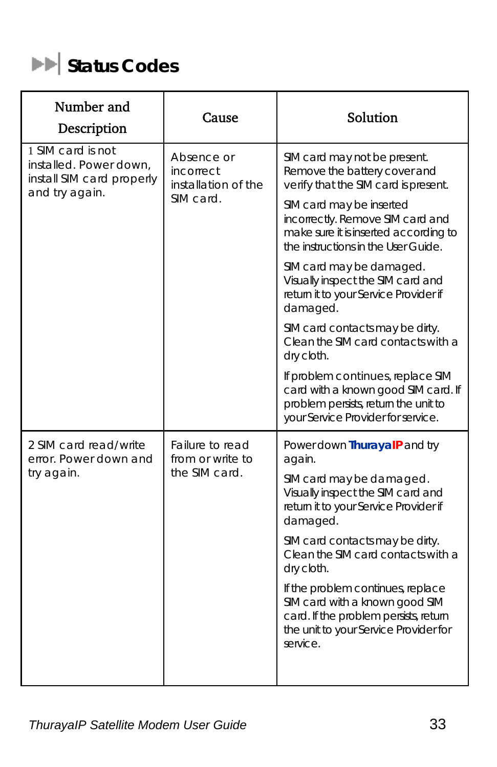

| Number and<br>Description                                                                  | Cause                                                       | Solution                                                                                                                                                          |
|--------------------------------------------------------------------------------------------|-------------------------------------------------------------|-------------------------------------------------------------------------------------------------------------------------------------------------------------------|
| 1 SIM card is not<br>installed. Power down,<br>install SIM card properly<br>and try again. | Absence or<br>incorrect<br>installation of the<br>SIM card. | SIM card may not be present.<br>Remove the battery cover and<br>verify that the SIM card is present.                                                              |
|                                                                                            |                                                             | SIM card may be inserted<br>incorrectly. Remove SIM card and<br>make sure it is inserted according to<br>the instructions in the User Guide.                      |
|                                                                                            |                                                             | SIM card may be damaged.<br>Visually inspect the SIM card and<br>return it to your Service Provider if<br>damaged.                                                |
|                                                                                            |                                                             | SIM card contacts may be dirty.<br>Clean the SIM card contacts with a<br>dry cloth.                                                                               |
|                                                                                            |                                                             | If problem continues, replace SIM<br>card with a known good SIM card. If<br>problem persists, return the unit to<br>your Service Provider for service.            |
| 2 SIM card read/write<br>error. Power down and<br>try again.                               | Failure to read<br>from or write to<br>the SIM card.        | Power down ThurayalP and try<br>again.                                                                                                                            |
|                                                                                            |                                                             | SIM card may be damaged.<br>Visually inspect the SIM card and<br>return it to your Service Provider if<br>damaged.                                                |
|                                                                                            |                                                             | SIM card contacts may be dirty.<br>Clean the SIM card contacts with a<br>dry cloth.                                                                               |
|                                                                                            |                                                             | If the problem continues, replace<br>SIM card with a known good SIM<br>card. If the problem persists, return<br>the unit to your Service Provider for<br>service. |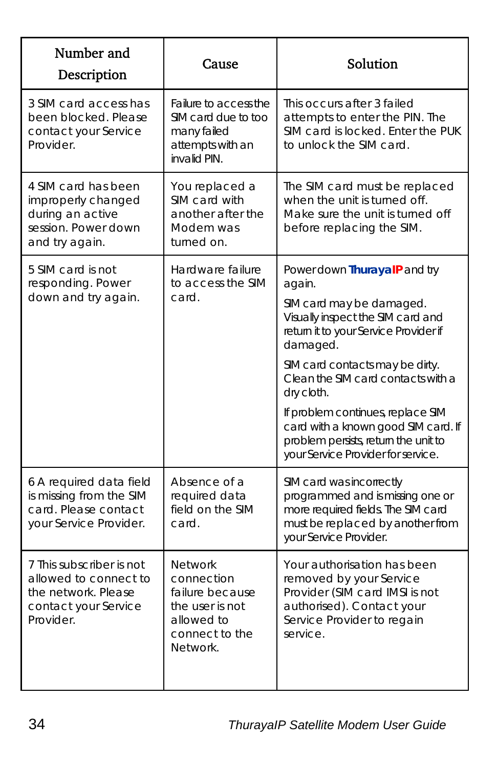| Number and<br>Description                                                                                     | Cause                                                                                                          | Solution                                                                                                                                                                                                                                                                                                                                                                                                      |
|---------------------------------------------------------------------------------------------------------------|----------------------------------------------------------------------------------------------------------------|---------------------------------------------------------------------------------------------------------------------------------------------------------------------------------------------------------------------------------------------------------------------------------------------------------------------------------------------------------------------------------------------------------------|
| 3 SIM card access has<br>been blocked. Please<br>contact your Service<br>Provider.                            | Failure to access the<br>SIM card due to too<br>many failed<br>attempts with an<br>invalid PIN.                | This occurs after 3 failed<br>attempts to enter the PIN. The<br>SIM card is locked. Enter the PUK<br>to unlock the SIM card.                                                                                                                                                                                                                                                                                  |
| 4 SIM card has been<br>improperly changed<br>during an active<br>session. Power down<br>and try again.        | You replaced a<br>SIM card with<br>another after the<br>Modem was<br>turned on.                                | The SIM card must be replaced<br>when the unit is turned off.<br>Make sure the unit is turned off<br>before replacing the SIM.                                                                                                                                                                                                                                                                                |
| 5 SIM card is not<br>responding. Power<br>down and try again.                                                 | Hardware failure<br>to access the SIM<br>card.                                                                 | Power down ThurayalP and try<br>again.<br>SIM card may be damaged.<br>Visually inspect the SIM card and<br>return it to your Service Provider if<br>damaged.<br>SIM card contacts may be dirty.<br>Clean the SIM card contacts with a<br>dry cloth.<br>If problem continues, replace SIM<br>card with a known good SIM card. If<br>problem persists, return the unit to<br>your Service Provider for service. |
| 6 A required data field<br>is missing from the SIM<br>card. Please contact<br>your Service Provider.          | Absence of a<br>required data<br>field on the SIM<br>card.                                                     | SIM card was incorrectly<br>programmed and is missing one or<br>more required fields. The SIM card<br>must be replaced by another from<br>your Service Provider.                                                                                                                                                                                                                                              |
| 7 This subscriber is not<br>allowed to connect to<br>the network. Please<br>contact your Service<br>Provider. | <b>Network</b><br>connection<br>failure because<br>the user is not<br>allowed to<br>connect to the<br>Network. | Your authorisation has been<br>removed by your Service<br>Provider (SIM card IMSI is not<br>authorised). Contact your<br>Service Provider to regain<br>service.                                                                                                                                                                                                                                               |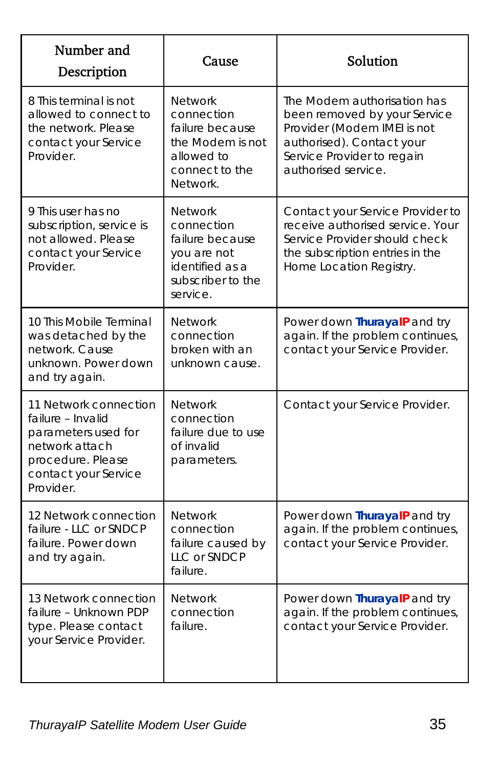| Number and<br>Description                                                                                                                     | Cause                                                                                                              | Solution                                                                                                                                                                     |
|-----------------------------------------------------------------------------------------------------------------------------------------------|--------------------------------------------------------------------------------------------------------------------|------------------------------------------------------------------------------------------------------------------------------------------------------------------------------|
| 8 This terminal is not<br>allowed to connect to<br>the network. Please<br>contact your Service<br>Provider.                                   | <b>Network</b><br>connection<br>failure because<br>the Modem is not<br>allowed to<br>connect to the<br>Network.    | The Modem authorisation has<br>been removed by your Service<br>Provider (Modem IMEI is not<br>authorised). Contact your<br>Service Provider to regain<br>authorised service. |
| 9 This user has no<br>subscription, service is<br>not allowed. Please<br>contact your Service<br>Provider.                                    | <b>Network</b><br>connection<br>failure because<br>you are not<br>identified as a<br>subscriber to the<br>service. | Contact your Service Provider to<br>receive authorised service. Your<br>Service Provider should check<br>the subscription entries in the<br>Home Location Registry.          |
| 10 This Mobile Terminal<br>was detached by the<br>network. Cause<br>unknown. Power down<br>and try again.                                     | <b>Network</b><br>connection<br>broken with an<br>unknown cause.                                                   | Power down ThurayalP and try<br>again. If the problem continues,<br>contact your Service Provider.                                                                           |
| 11 Network connection<br>failure - Invalid<br>parameters used for<br>network attach<br>procedure. Please<br>contact your Service<br>Provider. | <b>Network</b><br>connection<br>failure due to use<br>of invalid<br>parameters.                                    | Contact your Service Provider.                                                                                                                                               |
| 12 Network connection<br>failure - LLC or SNDCP<br>failure. Power down<br>and try again.                                                      | <b>Network</b><br>connection<br>failure caused by<br>LLC or SNDCP<br>failure.                                      | Power down ThurayalP and try<br>again. If the problem continues,<br>contact your Service Provider.                                                                           |
| 13 Network connection<br>failure - Unknown PDP<br>type. Please contact<br>your Service Provider.                                              | <b>Network</b><br>connection<br>failure.                                                                           | Power down ThurayalP and try<br>again. If the problem continues,<br>contact your Service Provider.                                                                           |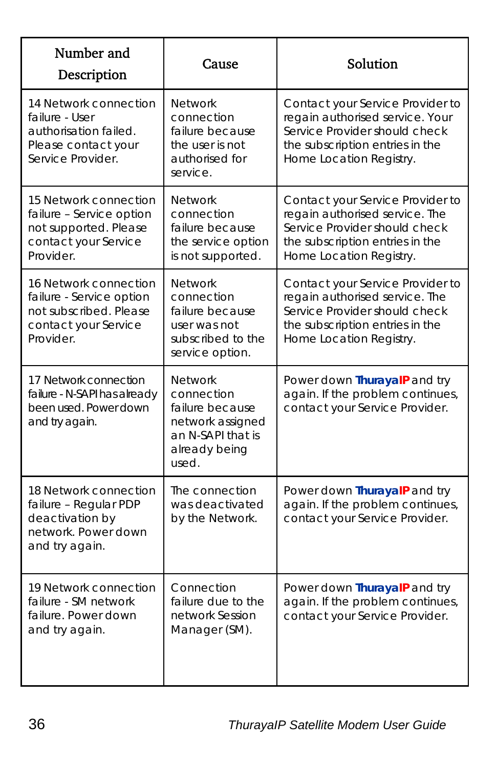| Number and<br>Description                                                                                        | Cause                                                                                                              | Solution                                                                                                                                                           |
|------------------------------------------------------------------------------------------------------------------|--------------------------------------------------------------------------------------------------------------------|--------------------------------------------------------------------------------------------------------------------------------------------------------------------|
| 14 Network connection<br>failure - User<br>authorisation failed.<br>Please contact your<br>Service Provider.     | <b>Network</b><br>connection<br>failure because<br>the user is not<br>authorised for<br>service.                   | Contact your Service Provider to<br>regain authorised service. Your<br>Service Provider should check<br>the subscription entries in the<br>Home Location Registry. |
| 15 Network connection<br>failure - Service option<br>not supported. Please<br>contact your Service<br>Provider.  | <b>Network</b><br>connection<br>failure because<br>the service option<br>is not supported.                         | Contact your Service Provider to<br>regain authorised service. The<br>Service Provider should check<br>the subscription entries in the<br>Home Location Registry.  |
| 16 Network connection<br>failure - Service option<br>not subscribed. Please<br>contact your Service<br>Provider. | <b>Network</b><br>connection<br>failure because<br>user was not<br>subscribed to the<br>service option.            | Contact your Service Provider to<br>regain authorised service. The<br>Service Provider should check<br>the subscription entries in the<br>Home Location Registry.  |
| 17 Network connection<br>failure - N-SAPI has already<br>been used. Power down<br>and try again.                 | <b>Network</b><br>connection<br>failure because<br>network assigned<br>an N-SAPI that is<br>already being<br>used. | Power down ThurayalP and try<br>again. If the problem continues,<br>contact your Service Provider.                                                                 |
| 18 Network connection<br>failure - Regular PDP<br>deactivation by<br>network. Power down<br>and try again.       | The connection<br>was deactivated<br>by the Network.                                                               | Power down ThurayalP and try<br>again. If the problem continues,<br>contact your Service Provider.                                                                 |
| 19 Network connection<br>failure - SM network<br>failure. Power down<br>and try again.                           | Connection<br>failure due to the<br>network Session<br>Manager (SM).                                               | Power down ThurayalP and try<br>again. If the problem continues,<br>contact your Service Provider.                                                                 |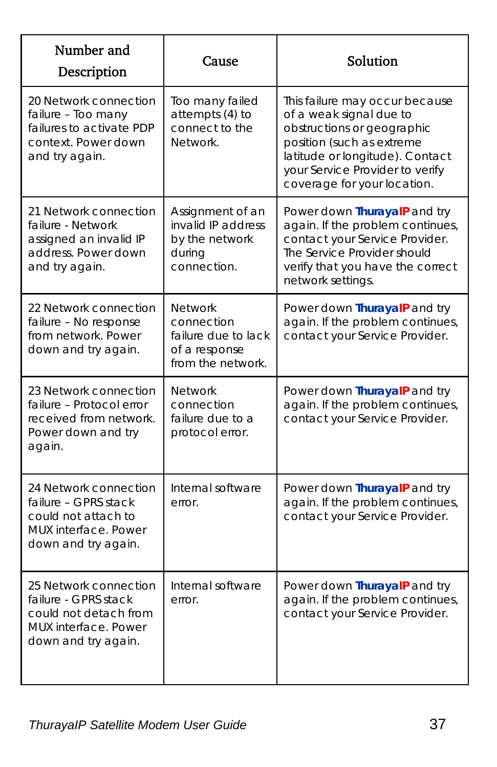| Number and<br>Description                                                                                                    | Cause                                                                                     | Solution                                                                                                                                                                                                                  |
|------------------------------------------------------------------------------------------------------------------------------|-------------------------------------------------------------------------------------------|---------------------------------------------------------------------------------------------------------------------------------------------------------------------------------------------------------------------------|
| 20 Network connection<br>failure - Too many<br>failures to activate PDP<br>context. Power down<br>and try again.             | Too many failed<br>attempts (4) to<br>connect to the<br>Network.                          | This failure may occur because<br>of a weak signal due to<br>obstructions or geographic<br>position (such as extreme<br>latitude or longitude). Contact<br>your Service Provider to verify<br>coverage for your location. |
| 21 Network connection<br>failure - Network<br>assigned an invalid IP<br>address. Power down<br>and try again.                | Assignment of an<br>invalid IP address<br>by the network<br>during<br>connection.         | Power down ThurayalP and try<br>again. If the problem continues,<br>contact your Service Provider.<br>The Service Provider should<br>verify that you have the correct<br>network settings.                                |
| 22 Network connection<br>failure - No response<br>from network. Power<br>down and try again.                                 | <b>Network</b><br>connection<br>failure due to lack<br>of a response<br>from the network. | Power down ThurayalP and try<br>again. If the problem continues,<br>contact your Service Provider.                                                                                                                        |
| 23 Network connection<br>failure - Protocol error<br>received from network.<br>Power down and try<br>again.                  | <b>Network</b><br>connection<br>failure due to a<br>protocol error.                       | Power down ThurayalP and try<br>again. If the problem continues,<br>contact your Service Provider.                                                                                                                        |
| 24 Network connection<br>failure - GPRS stack<br>could not attach to<br>MUX interface. Power<br>down and try again.          | Internal software<br>error.                                                               | Power down ThurayalP and try<br>again. If the problem continues,<br>contact your Service Provider.                                                                                                                        |
| 25 Network connection<br>failure - GPRS stack<br>could not detach from<br><b>MUX</b> interface. Power<br>down and try again. | Internal software<br>error.                                                               | Power down ThurayalP and try<br>again. If the problem continues,<br>contact your Service Provider.                                                                                                                        |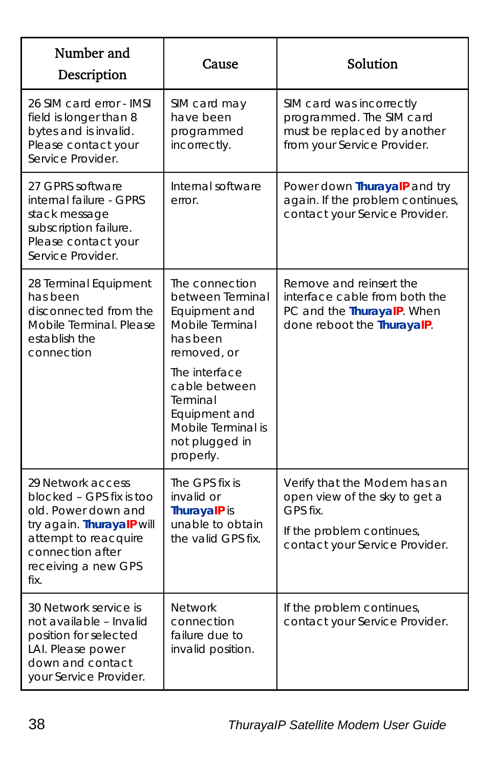| Number and<br>Description                                                                                                                                                    | Cause                                                                                                                                                                                                                 | Solution                                                                                                                                 |
|------------------------------------------------------------------------------------------------------------------------------------------------------------------------------|-----------------------------------------------------------------------------------------------------------------------------------------------------------------------------------------------------------------------|------------------------------------------------------------------------------------------------------------------------------------------|
| 26 SIM card error - IMSI<br>field is longer than 8<br>bytes and is invalid.<br>Please contact your<br>Service Provider.                                                      | SIM card may<br>have been<br>programmed<br>incorrectly.                                                                                                                                                               | SIM card was incorrectly<br>programmed. The SIM card<br>must be replaced by another<br>from your Service Provider.                       |
| 27 GPRS software<br>internal failure - GPRS<br>stack message<br>subscription failure.<br>Please contact your<br>Service Provider.                                            | Internal software<br>error.                                                                                                                                                                                           | Power down ThurayalP and try<br>again. If the problem continues,<br>contact your Service Provider.                                       |
| 28 Terminal Equipment<br>has been<br>disconnected from the<br>Mobile Terminal, Please<br>establish the<br>connection                                                         | The connection<br>between Terminal<br>Equipment and<br>Mobile Terminal<br>has been<br>removed, or<br>The interface<br>cable between<br>Terminal<br>Equipment and<br>Mobile Terminal is<br>not plugged in<br>properly. | Remove and reinsert the<br>interface cable from both the<br>PC and the ThurayalP. When<br>done reboot the ThurayalP.                     |
| 29 Network access<br>blocked - GPS fix is too<br>old. Power down and<br>try again. ThurayalP will<br>attempt to reacquire<br>connection after<br>receiving a new GPS<br>fix. | The GPS fix is<br>invalid or<br>ThurayalP is<br>unable to obtain<br>the valid GPS fix.                                                                                                                                | Verify that the Modem has an<br>open view of the sky to get a<br>GPS fix.<br>If the problem continues,<br>contact your Service Provider. |
| 30 Network service is<br>not available - Invalid<br>position for selected<br>LAI. Please power<br>down and contact<br>your Service Provider.                                 | <b>Network</b><br>connection<br>failure due to<br>invalid position.                                                                                                                                                   | If the problem continues,<br>contact your Service Provider.                                                                              |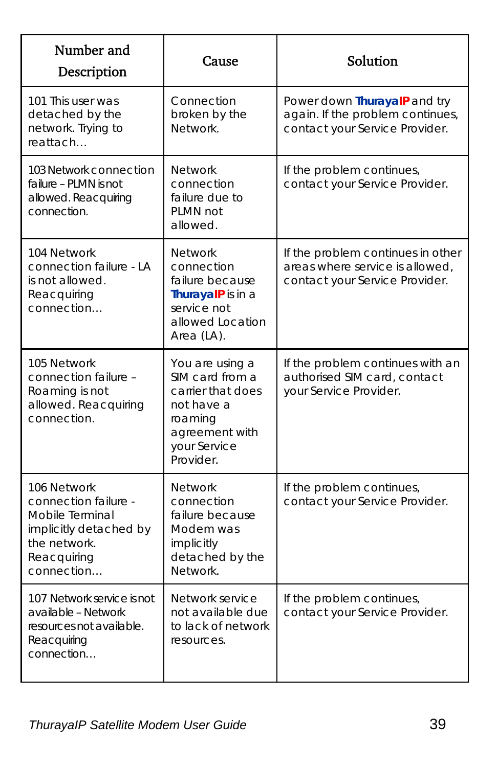| Number and<br>Description                                                                                                     | Cause                                                                                                                           | Solution                                                                                               |
|-------------------------------------------------------------------------------------------------------------------------------|---------------------------------------------------------------------------------------------------------------------------------|--------------------------------------------------------------------------------------------------------|
| 101 This user was<br>detached by the<br>network. Trying to<br>reattach                                                        | Connection<br>broken by the<br>Network.                                                                                         | Power down ThurayalP and try<br>again. If the problem continues,<br>contact your Service Provider.     |
| 103 Network connection<br>failure - PLMN is not<br>allowed. Reacquiring<br>connection.                                        | <b>Network</b><br>connection<br>failure due to<br>PLMN not<br>allowed.                                                          | If the problem continues,<br>contact your Service Provider.                                            |
| 104 Network<br>connection failure - LA<br>is not allowed.<br>Reacquiring<br>connection                                        | <b>Network</b><br>connection<br>failure because<br>ThurayalP is in a<br>service not<br>allowed Location<br>Area (LA).           | If the problem continues in other<br>areas where service is allowed,<br>contact your Service Provider. |
| 105 Network<br>connection failure -<br>Roaming is not<br>allowed. Reacquiring<br>connection.                                  | You are using a<br>SIM card from a<br>carrier that does<br>not have a<br>roaming<br>agreement with<br>your Service<br>Provider. | If the problem continues with an<br>authorised SIM card, contact<br>your Service Provider.             |
| 106 Network<br>connection failure -<br>Mobile Terminal<br>implicitly detached by<br>the network.<br>Reacquiring<br>connection | <b>Network</b><br>connection<br>failure because<br>Modem was<br>implicitly<br>detached by the<br>Network.                       | If the problem continues,<br>contact your Service Provider.                                            |
| 107 Network service is not<br>available - Network<br>resources not available.<br>Reacquiring<br>connection                    | Network service<br>not available due<br>to lack of network<br>resources.                                                        | If the problem continues,<br>contact your Service Provider.                                            |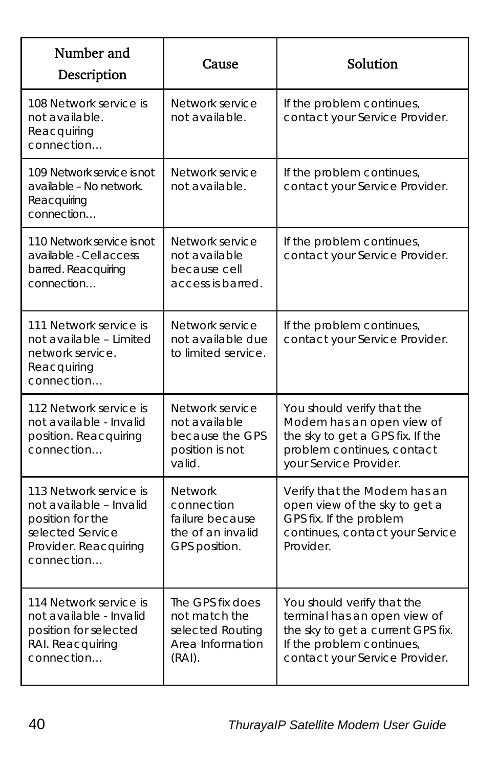| Number and<br>Description                                                                                                        | Cause                                                                                 | Solution                                                                                                                                                       |
|----------------------------------------------------------------------------------------------------------------------------------|---------------------------------------------------------------------------------------|----------------------------------------------------------------------------------------------------------------------------------------------------------------|
| 108 Network service is<br>not available.<br>Reacquiring<br>connection                                                            | Network service<br>not available.                                                     | If the problem continues,<br>contact your Service Provider.                                                                                                    |
| 109 Network service is not<br>available - No network.<br>Reacquiring<br>connection                                               | Network service<br>not available.                                                     | If the problem continues,<br>contact your Service Provider.                                                                                                    |
| 110 Network service is not<br>available - Cell access<br>barred. Reacquiring<br>connection                                       | Network service<br>not available<br>because cell<br>access is barred.                 | If the problem continues,<br>contact your Service Provider.                                                                                                    |
| 111 Network service is<br>not available - Limited<br>network service.<br>Reacquiring<br>connection                               | Network service<br>not available due<br>to limited service.                           | If the problem continues,<br>contact your Service Provider.                                                                                                    |
| 112 Network service is<br>not available - Invalid<br>position. Reacquiring<br>connection                                         | Network service<br>not available<br>because the GPS<br>position is not<br>valid.      | You should verify that the<br>Modem has an open view of<br>the sky to get a GPS fix. If the<br>problem continues, contact<br>your Service Provider.            |
| 113 Network service is<br>not available - Invalid<br>position for the<br>selected Service<br>Provider. Reacquiring<br>connection | <b>Network</b><br>connection<br>failure because<br>the of an invalid<br>GPS position. | Verify that the Modem has an<br>open view of the sky to get a<br>GPS fix. If the problem<br>continues, contact your Service<br>Provider.                       |
| 114 Network service is<br>not available - Invalid<br>position for selected<br>RAI. Reacquiring<br>connection                     | The GPS fix does<br>not match the<br>selected Routing<br>Area Information<br>(RAI).   | You should verify that the<br>terminal has an open view of<br>the sky to get a current GPS fix.<br>If the problem continues,<br>contact your Service Provider. |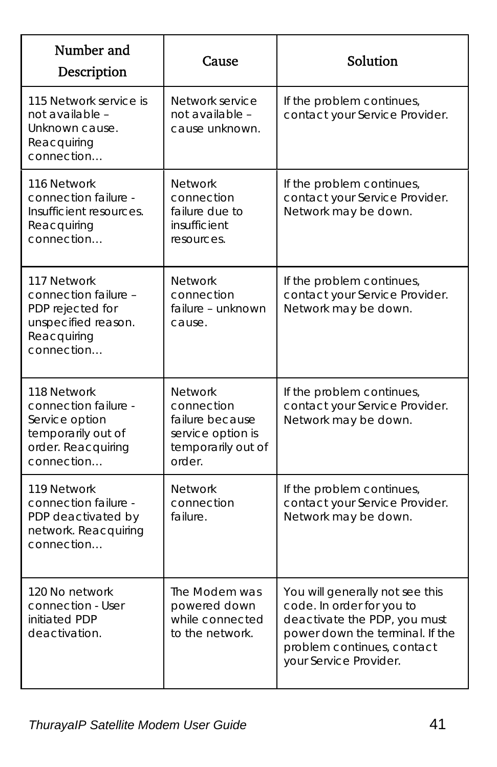| Number and<br>Description                                                                                       | Cause                                                                                                | Solution                                                                                                                                                                                |
|-----------------------------------------------------------------------------------------------------------------|------------------------------------------------------------------------------------------------------|-----------------------------------------------------------------------------------------------------------------------------------------------------------------------------------------|
| 115 Network service is<br>not available -<br>Unknown cause.<br>Reacquiring<br>connection                        | Network service<br>not available -<br>cause unknown.                                                 | If the problem continues,<br>contact your Service Provider.                                                                                                                             |
| 116 Network<br>connection failure -<br>Insufficient resources.<br>Reacquiring<br>connection                     | <b>Network</b><br>connection<br>failure due to<br>insufficient<br>resources.                         | If the problem continues,<br>contact your Service Provider.<br>Network may be down.                                                                                                     |
| 117 Network<br>connection failure -<br>PDP rejected for<br>unspecified reason.<br>Reacquiring<br>connection     | <b>Network</b><br>connection<br>failure – unknown<br>cause.                                          | If the problem continues,<br>contact your Service Provider.<br>Network may be down.                                                                                                     |
| 118 Network<br>connection failure -<br>Service option<br>temporarily out of<br>order. Reacquiring<br>connection | <b>Network</b><br>connection<br>failure because<br>service option is<br>temporarily out of<br>order. | If the problem continues,<br>contact your Service Provider.<br>Network may be down.                                                                                                     |
| 119 Network<br>connection failure -<br>PDP deactivated by<br>network. Reacquiring<br>connection                 | <b>Network</b><br>connection<br>failure.                                                             | If the problem continues,<br>contact your Service Provider.<br>Network may be down.                                                                                                     |
| 120 No network<br>connection - User<br>initiated PDP<br>deactivation.                                           | The Modem was<br>powered down<br>while connected<br>to the network.                                  | You will generally not see this<br>code. In order for you to<br>deactivate the PDP, you must<br>power down the terminal. If the<br>problem continues, contact<br>your Service Provider. |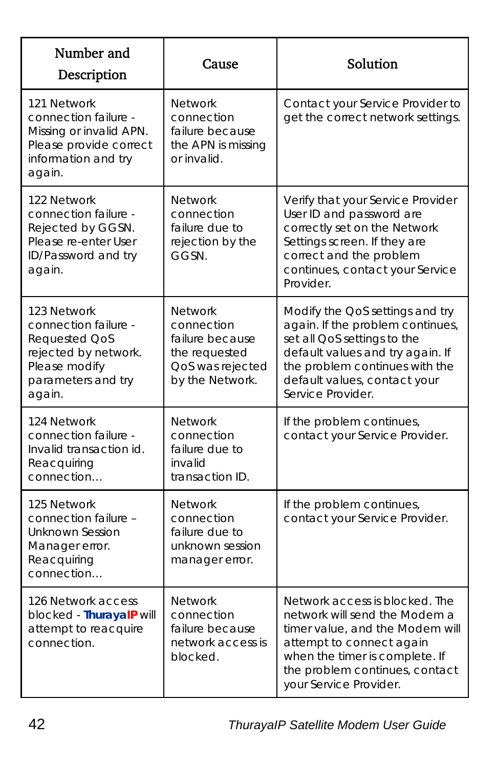| Number and<br>Description                                                                                                     | Cause                                                                                                   | Solution                                                                                                                                                                                                                      |
|-------------------------------------------------------------------------------------------------------------------------------|---------------------------------------------------------------------------------------------------------|-------------------------------------------------------------------------------------------------------------------------------------------------------------------------------------------------------------------------------|
| 121 Network<br>connection failure -<br>Missing or invalid APN.<br>Please provide correct<br>information and try<br>again.     | <b>Network</b><br>connection<br>failure because<br>the APN is missing<br>or invalid.                    | Contact your Service Provider to<br>get the correct network settings.                                                                                                                                                         |
| 122 Network<br>connection failure -<br>Rejected by GGSN.<br>Please re-enter User<br>ID/Password and try<br>again.             | <b>Network</b><br>connection<br>failure due to<br>rejection by the<br>GGSN.                             | Verify that your Service Provider<br>User ID and password are<br>correctly set on the Network<br>Settings screen. If they are<br>correct and the problem<br>continues, contact your Service<br>Provider.                      |
| 123 Network<br>connection failure -<br>Requested QoS<br>rejected by network.<br>Please modify<br>parameters and try<br>again. | <b>Network</b><br>connection<br>failure because<br>the requested<br>QoS was rejected<br>by the Network. | Modify the QoS settings and try<br>again. If the problem continues,<br>set all QoS settings to the<br>default values and try again. If<br>the problem continues with the<br>default values, contact your<br>Service Provider. |
| 124 Network<br>connection failure -<br>Invalid transaction id.<br>Reacquiring<br>connection                                   | Network<br>connection<br>failure due to<br>invalid<br>transaction ID.                                   | If the problem continues,<br>contact your Service Provider.                                                                                                                                                                   |
| 125 Network<br>connection failure -<br>Unknown Session<br>Manager error.<br>Reacquiring<br>connection                         | <b>Network</b><br>connection<br>failure due to<br>unknown session<br>manager error.                     | If the problem continues,<br>contact your Service Provider.                                                                                                                                                                   |
| 126 Network access<br>blocked - ThurayalP will<br>attempt to reacquire<br>connection.                                         | <b>Network</b><br>connection<br>failure because<br>network access is<br>blocked.                        | Network access is blocked. The<br>network will send the Modem a<br>timer value, and the Modem will<br>attempt to connect again<br>when the timer is complete. If<br>the problem continues, contact<br>your Service Provider.  |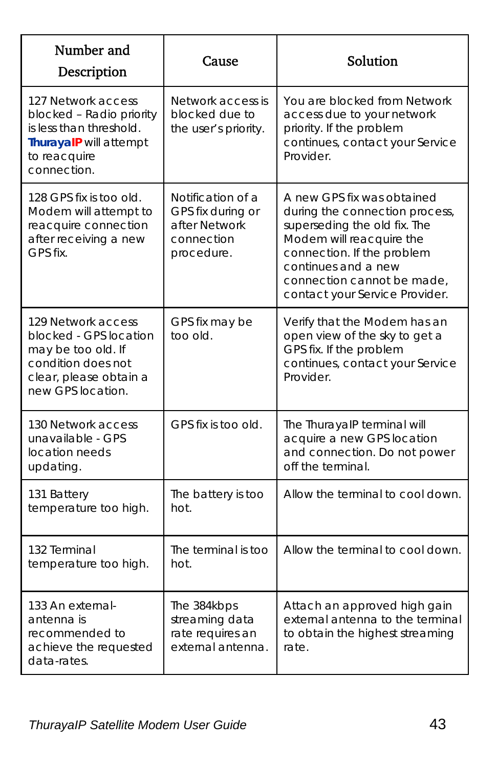| Number and<br>Description                                                                                                               | Cause                                                                               | Solution                                                                                                                                                                                                                                      |
|-----------------------------------------------------------------------------------------------------------------------------------------|-------------------------------------------------------------------------------------|-----------------------------------------------------------------------------------------------------------------------------------------------------------------------------------------------------------------------------------------------|
| 127 Network access<br>blocked - Radio priority<br>is less than threshold.<br>ThurayalP will attempt<br>to reacquire<br>connection.      | Network access is<br>blocked due to<br>the user's priority.                         | You are blocked from Network<br>access due to your network<br>priority. If the problem<br>continues, contact your Service<br>Provider.                                                                                                        |
| 128 GPS fix is too old.<br>Modem will attempt to<br>reacquire connection<br>after receiving a new<br>GPS fix.                           | Notification of a<br>GPS fix during or<br>after Network<br>connection<br>procedure. | A new GPS fix was obtained<br>during the connection process,<br>superseding the old fix. The<br>Modem will reacquire the<br>connection. If the problem<br>continues and a new<br>connection cannot be made,<br>contact your Service Provider. |
| 129 Network access<br>blocked - GPS location<br>may be too old. If<br>condition does not<br>clear, please obtain a<br>new GPS location. | GPS fix may be<br>too old.                                                          | Verify that the Modem has an<br>open view of the sky to get a<br>GPS fix. If the problem<br>continues, contact your Service<br>Provider.                                                                                                      |
| 130 Network access<br>unavailable - GPS<br>location needs<br>updating.                                                                  | GPS fix is too old.                                                                 | The ThurayalP terminal will<br>acquire a new GPS location<br>and connection. Do not power<br>off the terminal.                                                                                                                                |
| 131 Battery<br>temperature too high.                                                                                                    | The battery is too<br>hot.                                                          | Allow the terminal to cool down.                                                                                                                                                                                                              |
| 132 Terminal<br>temperature too high.                                                                                                   | The terminal is too<br>hot.                                                         | Allow the terminal to cool down.                                                                                                                                                                                                              |
| 133 An external-<br>antenna is<br>recommended to<br>achieve the requested<br>data-rates.                                                | The 384kbps<br>streaming data<br>rate requires an<br>external antenna.              | Attach an approved high gain<br>external antenna to the terminal<br>to obtain the highest streaming<br>rate.                                                                                                                                  |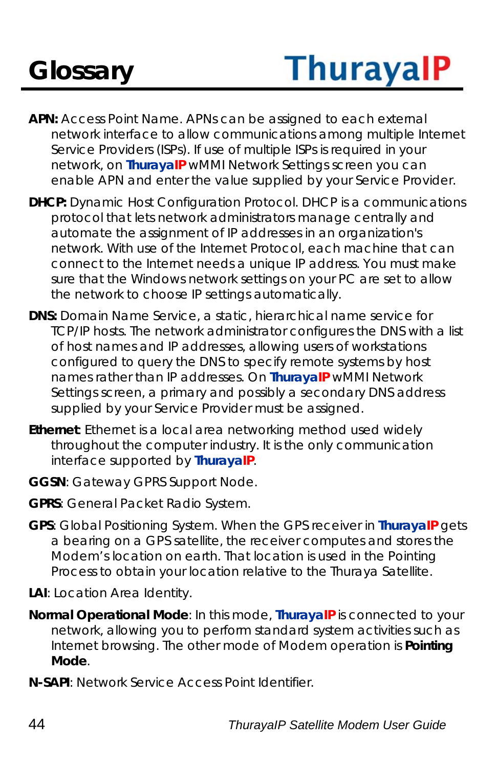# **Glossary**

# **ThurayalP**

- **APN:** Access Point Name. APNs can be assigned to each external network interface to allow communications among multiple Internet Service Providers (ISPs). If use of multiple ISPs is required in your network, on **ThurayaIP** wMMI Network Settings screen you can enable APN and enter the value supplied by your Service Provider.
- **DHCP:** Dynamic Host Configuration Protocol. DHCP is a communications protocol that lets network administrators manage centrally and automate the assignment of IP addresses in an organization's network. With use of the Internet Protocol, each machine that can connect to the Internet needs a unique IP address. You must make sure that the Windows network settings on your PC are set to allow the network to choose IP settings automatically.
- **DNS:** Domain Name Service, a static, hierarchical name service for TCP/IP hosts. The network administrator configures the DNS with a list of host names and IP addresses, allowing users of workstations configured to query the DNS to specify remote systems by host names rather than IP addresses. On **ThurayaIP** wMMI Network Settings screen, a primary and possibly a secondary DNS address supplied by your Service Provider must be assigned.
- **Ethernet**: Ethernet is a local area networking method used widely throughout the computer industry. It is the only communication interface supported by **ThurayaIP**.
- **GGSN**: Gateway GPRS Support Node.
- **GPRS**: General Packet Radio System.
- **GPS**: Global Positioning System. When the GPS receiver in **ThurayaIP** gets a bearing on a GPS satellite, the receiver computes and stores the Modem's location on earth. That location is used in the Pointing Process to obtain your location relative to the Thuraya Satellite.
- **LAI**: Location Area Identity.
- **Normal Operational Mode**: In this mode, **ThurayaIP** is connected to your network, allowing you to perform standard system activities such as Internet browsing. The other mode of Modem operation is **Pointing Mode**.
- **N-SAPI**: Network Service Access Point Identifier.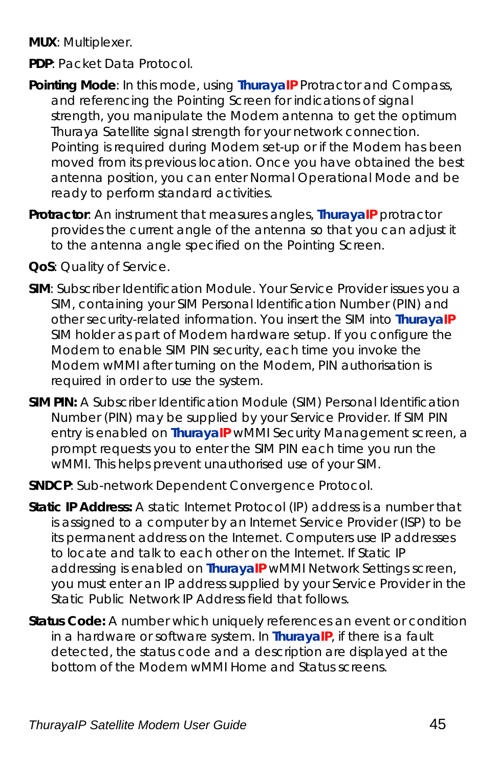**MUX**: Multiplexer.

- **PDP**: Packet Data Protocol.
- **Pointing Mode**: In this mode, using **ThurayaIP** Protractor and Compass, and referencing the Pointing Screen for indications of signal strength, you manipulate the Modem antenna to get the optimum Thuraya Satellite signal strength for your network connection. Pointing is required during Modem set-up or if the Modem has been moved from its previous location. Once you have obtained the best antenna position, you can enter Normal Operational Mode and be ready to perform standard activities.
- **Protractor**: An instrument that measures angles, **ThurayaIP** protractor provides the current angle of the antenna so that you can adjust it to the antenna angle specified on the Pointing Screen.
- **QoS**: Quality of Service.
- **SIM**: Subscriber Identification Module. Your Service Provider issues you a SIM, containing your SIM Personal Identification Number (PIN) and other security-related information. You insert the SIM into **ThurayaIP** SIM holder as part of Modem hardware setup. If you configure the Modem to enable SIM PIN security, each time you invoke the Modem wMMI after turning on the Modem, PIN authorisation is required in order to use the system.
- **SIM PIN:** A Subscriber Identification Module (SIM) Personal Identification Number (PIN) may be supplied by your Service Provider. If SIM PIN entry is enabled on **ThurayaIP** wMMI Security Management screen, a prompt requests you to enter the SIM PIN each time you run the wMMI. This helps prevent unauthorised use of your SIM.
- **SNDCP**: Sub-network Dependent Convergence Protocol.
- **Static IP Address:** A static Internet Protocol (IP) address is a number that is assigned to a computer by an Internet Service Provider (ISP) to be its permanent address on the Internet. Computers use IP addresses to locate and talk to each other on the Internet. If Static IP addressing is enabled on **ThurayaIP** wMMI Network Settings screen, you must enter an IP address supplied by your Service Provider in the Static Public Network IP Address field that follows.
- **Status Code:** A number which uniquely references an event or condition in a hardware or software system. In **ThurayaIP**, if there is a fault detected, the status code and a description are displayed at the bottom of the Modem wMMI Home and Status screens.